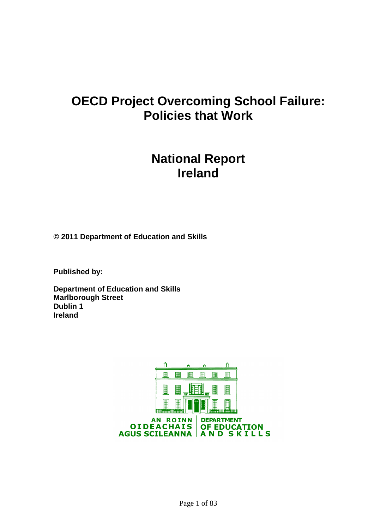# **OECD Project Overcoming School Failure: Policies that Work**

# **National Report Ireland**

**© 2011 Department of Education and Skills** 

**Published by:** 

**Department of Education and Skills Marlborough Street Dublin 1 Ireland** 

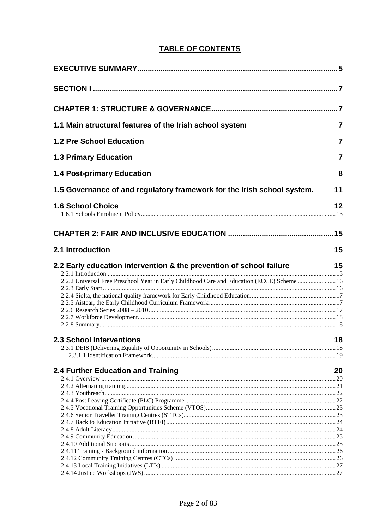## **TABLE OF CONTENTS**

| 1.1 Main structural features of the Irish school system                                     | $\overline{7}$ |
|---------------------------------------------------------------------------------------------|----------------|
| 1.2 Pre School Education                                                                    | $\overline{7}$ |
| <b>1.3 Primary Education</b>                                                                | 7              |
| <b>1.4 Post-primary Education</b>                                                           | 8              |
| 1.5 Governance of and regulatory framework for the Irish school system.                     | 11             |
| <b>1.6 School Choice</b>                                                                    | 12             |
|                                                                                             |                |
| 2.1 Introduction                                                                            | 15             |
| 2.2 Early education intervention & the prevention of school failure                         | 15             |
| 2.2.2 Universal Free Preschool Year in Early Childhood Care and Education (ECCE) Scheme  16 |                |
|                                                                                             |                |
|                                                                                             |                |
|                                                                                             |                |
|                                                                                             |                |
|                                                                                             |                |
|                                                                                             |                |
| <b>2.3 School Interventions</b>                                                             | 18             |
|                                                                                             |                |
|                                                                                             |                |
|                                                                                             |                |
| 2.4 Further Education and Training                                                          | 20             |
|                                                                                             |                |
|                                                                                             |                |
|                                                                                             |                |
|                                                                                             |                |
|                                                                                             |                |
|                                                                                             |                |
|                                                                                             |                |
|                                                                                             |                |
|                                                                                             |                |
|                                                                                             |                |
|                                                                                             |                |
|                                                                                             |                |
|                                                                                             |                |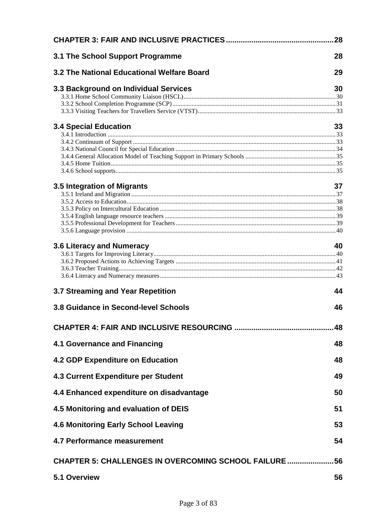|                                                            | 28  |
|------------------------------------------------------------|-----|
| 3.1 The School Support Programme                           | 28  |
| 3.2 The National Educational Welfare Board                 | 29  |
| 3.3 Background on Individual Services                      | 30  |
|                                                            |     |
|                                                            |     |
|                                                            |     |
| <b>3.4 Special Education</b>                               | 33  |
|                                                            |     |
|                                                            |     |
|                                                            |     |
|                                                            |     |
|                                                            |     |
| 3.5 Integration of Migrants                                | 37  |
|                                                            |     |
|                                                            |     |
|                                                            |     |
|                                                            |     |
|                                                            |     |
|                                                            |     |
| 3.6 Literacy and Numeracy                                  | 40  |
|                                                            |     |
|                                                            |     |
|                                                            |     |
| 3.7 Streaming and Year Repetition                          | 44  |
| 3.8 Guidance in Second-level Schools                       | 46  |
|                                                            | 48  |
| <b>4.1 Governance and Financing</b>                        | 48  |
| <b>4.2 GDP Expenditure on Education</b>                    | 48  |
| <b>4.3 Current Expenditure per Student</b>                 | 49  |
| 4.4 Enhanced expenditure on disadvantage                   | 50  |
| 4.5 Monitoring and evaluation of DEIS                      | 51  |
| <b>4.6 Monitoring Early School Leaving</b>                 | 53  |
| <b>4.7 Performance measurement</b>                         | 54  |
| <b>CHAPTER 5: CHALLENGES IN OVERCOMING SCHOOL FAILURE </b> | .56 |
| 5.1 Overview                                               | 56  |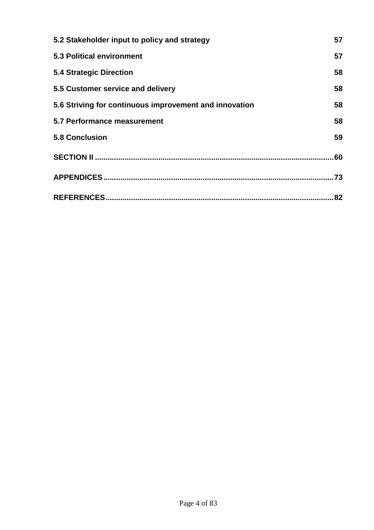| 5.2 Stakeholder input to policy and strategy           | 57  |
|--------------------------------------------------------|-----|
| <b>5.3 Political environment</b>                       | 57  |
| <b>5.4 Strategic Direction</b>                         | 58  |
| 5.5 Customer service and delivery                      | 58  |
| 5.6 Striving for continuous improvement and innovation | 58  |
| 5.7 Performance measurement                            | 58  |
| <b>5.8 Conclusion</b>                                  | 59  |
|                                                        | .60 |
|                                                        | .73 |
|                                                        | 82  |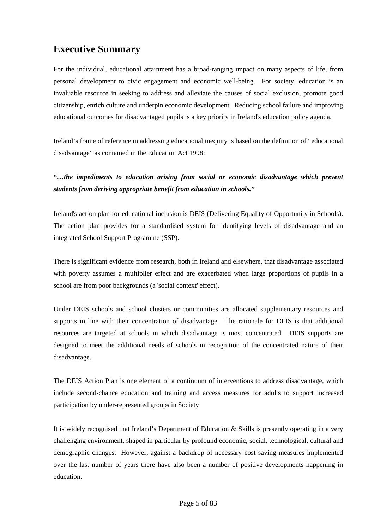## **Executive Summary**

For the individual, educational attainment has a broad-ranging impact on many aspects of life, from personal development to civic engagement and economic well-being. For society, education is an invaluable resource in seeking to address and alleviate the causes of social exclusion, promote good citizenship, enrich culture and underpin economic development. Reducing school failure and improving educational outcomes for disadvantaged pupils is a key priority in Ireland's education policy agenda.

Ireland's frame of reference in addressing educational inequity is based on the definition of "educational disadvantage" as contained in the Education Act 1998:

*"…the impediments to education arising from social or economic disadvantage which prevent students from deriving appropriate benefit from education in schools."* 

Ireland's action plan for educational inclusion is DEIS (Delivering Equality of Opportunity in Schools). The action plan provides for a standardised system for identifying levels of disadvantage and an integrated School Support Programme (SSP).

There is significant evidence from research, both in Ireland and elsewhere, that disadvantage associated with poverty assumes a multiplier effect and are exacerbated when large proportions of pupils in a school are from poor backgrounds (a 'social context' effect).

Under DEIS schools and school clusters or communities are allocated supplementary resources and supports in line with their concentration of disadvantage. The rationale for DEIS is that additional resources are targeted at schools in which disadvantage is most concentrated. DEIS supports are designed to meet the additional needs of schools in recognition of the concentrated nature of their disadvantage.

The DEIS Action Plan is one element of a continuum of interventions to address disadvantage, which include second-chance education and training and access measures for adults to support increased participation by under-represented groups in Society

It is widely recognised that Ireland's Department of Education & Skills is presently operating in a very challenging environment, shaped in particular by profound economic, social, technological, cultural and demographic changes. However, against a backdrop of necessary cost saving measures implemented over the last number of years there have also been a number of positive developments happening in education.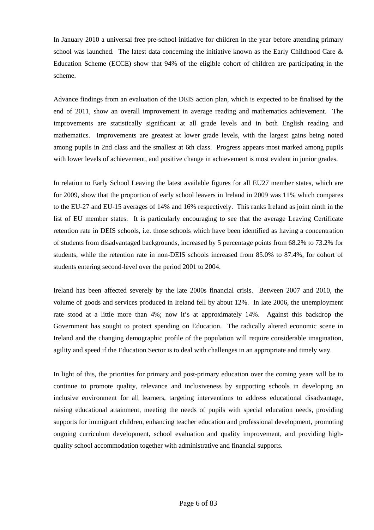In January 2010 a universal free pre-school initiative for children in the year before attending primary school was launched. The latest data concerning the initiative known as the Early Childhood Care & Education Scheme (ECCE) show that 94% of the eligible cohort of children are participating in the scheme.

Advance findings from an evaluation of the DEIS action plan, which is expected to be finalised by the end of 2011, show an overall improvement in average reading and mathematics achievement. The improvements are statistically significant at all grade levels and in both English reading and mathematics. Improvements are greatest at lower grade levels, with the largest gains being noted among pupils in 2nd class and the smallest at 6th class. Progress appears most marked among pupils with lower levels of achievement, and positive change in achievement is most evident in junior grades.

In relation to Early School Leaving the latest available figures for all EU27 member states, which are for 2009, show that the proportion of early school leavers in Ireland in 2009 was 11% which compares to the EU-27 and EU-15 averages of 14% and 16% respectively. This ranks Ireland as joint ninth in the list of EU member states. It is particularly encouraging to see that the average Leaving Certificate retention rate in DEIS schools, i.e. those schools which have been identified as having a concentration of students from disadvantaged backgrounds, increased by 5 percentage points from 68.2% to 73.2% for students, while the retention rate in non-DEIS schools increased from 85.0% to 87.4%, for cohort of students entering second-level over the period 2001 to 2004.

Ireland has been affected severely by the late 2000s financial crisis. Between 2007 and 2010, the volume of goods and services produced in Ireland fell by about 12%. In late 2006, the unemployment rate stood at a little more than 4%; now it's at approximately 14%. Against this backdrop the Government has sought to protect spending on Education. The radically altered economic scene in Ireland and the changing demographic profile of the population will require considerable imagination, agility and speed if the Education Sector is to deal with challenges in an appropriate and timely way.

In light of this, the priorities for primary and post-primary education over the coming years will be to continue to promote quality, relevance and inclusiveness by supporting schools in developing an inclusive environment for all learners, targeting interventions to address educational disadvantage, raising educational attainment, meeting the needs of pupils with special education needs, providing supports for immigrant children, enhancing teacher education and professional development, promoting ongoing curriculum development, school evaluation and quality improvement, and providing highquality school accommodation together with administrative and financial supports.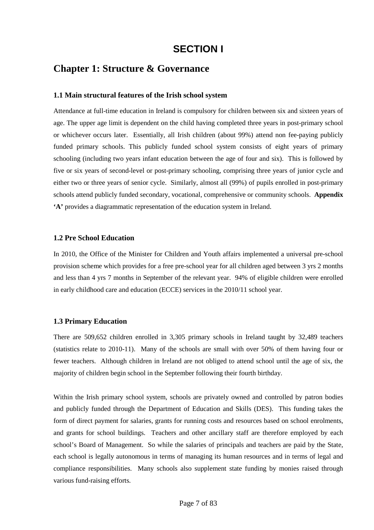## **SECTION I**

## **Chapter 1: Structure & Governance**

#### **1.1 Main structural features of the Irish school system**

Attendance at full-time education in Ireland is compulsory for children between six and sixteen years of age. The upper age limit is dependent on the child having completed three years in post-primary school or whichever occurs later. Essentially, all Irish children (about 99%) attend non fee-paying publicly funded primary schools. This publicly funded school system consists of eight years of primary schooling (including two years infant education between the age of four and six). This is followed by five or six years of second-level or post-primary schooling, comprising three years of junior cycle and either two or three years of senior cycle. Similarly, almost all (99%) of pupils enrolled in post-primary schools attend publicly funded secondary, vocational, comprehensive or community schools. **Appendix 'A'** provides a diagrammatic representation of the education system in Ireland.

#### **1.2 Pre School Education**

In 2010, the Office of the Minister for Children and Youth affairs implemented a universal pre-school provision scheme which provides for a free pre-school year for all children aged between 3 yrs 2 months and less than 4 yrs 7 months in September of the relevant year. 94% of eligible children were enrolled in early childhood care and education (ECCE) services in the 2010/11 school year.

#### **1.3 Primary Education**

There are 509,652 children enrolled in 3,305 primary schools in Ireland taught by 32,489 teachers (statistics relate to 2010-11). Many of the schools are small with over 50% of them having four or fewer teachers. Although children in Ireland are not obliged to attend school until the age of six, the majority of children begin school in the September following their fourth birthday.

Within the Irish primary school system, schools are privately owned and controlled by patron bodies and publicly funded through the Department of Education and Skills (DES). This funding takes the form of direct payment for salaries, grants for running costs and resources based on school enrolments, and grants for school buildings. Teachers and other ancillary staff are therefore employed by each school's Board of Management. So while the salaries of principals and teachers are paid by the State, each school is legally autonomous in terms of managing its human resources and in terms of legal and compliance responsibilities. Many schools also supplement state funding by monies raised through various fund-raising efforts.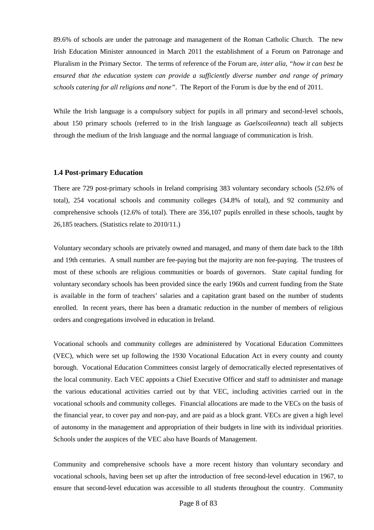89.6% of schools are under the patronage and management of the Roman Catholic Church. The new Irish Education Minister announced in March 2011 the establishment of a Forum on Patronage and Pluralism in the Primary Sector. The terms of reference of the Forum are, *inter alia, "how it can best be ensured that the education system can provide a sufficiently diverse number and range of primary schools catering for all religions and none"*. The Report of the Forum is due by the end of 2011.

While the Irish language is a compulsory subject for pupils in all primary and second-level schools, about 150 primary schools (referred to in the Irish language as *Gaelscoileanna*) teach all subjects through the medium of the Irish language and the normal language of communication is Irish.

#### **1.4 Post-primary Education**

There are 729 post-primary schools in Ireland comprising 383 voluntary secondary schools (52.6% of total), 254 vocational schools and community colleges (34.8% of total), and 92 community and comprehensive schools (12.6% of total). There are 356,107 pupils enrolled in these schools, taught by 26,185 teachers. (Statistics relate to 2010/11.)

Voluntary secondary schools are privately owned and managed, and many of them date back to the 18th and 19th centuries. A small number are fee-paying but the majority are non fee-paying. The trustees of most of these schools are religious communities or boards of governors. State capital funding for voluntary secondary schools has been provided since the early 1960s and current funding from the State is available in the form of teachers' salaries and a capitation grant based on the number of students enrolled. In recent years, there has been a dramatic reduction in the number of members of religious orders and congregations involved in education in Ireland.

Vocational schools and community colleges are administered by Vocational Education Committees (VEC), which were set up following the 1930 Vocational Education Act in every county and county borough. Vocational Education Committees consist largely of democratically elected representatives of the local community. Each VEC appoints a Chief Executive Officer and staff to administer and manage the various educational activities carried out by that VEC, including activities carried out in the vocational schools and community colleges. Financial allocations are made to the VECs on the basis of the financial year, to cover pay and non-pay, and are paid as a block grant. VECs are given a high level of autonomy in the management and appropriation of their budgets in line with its individual priorities. Schools under the auspices of the VEC also have Boards of Management.

Community and comprehensive schools have a more recent history than voluntary secondary and vocational schools, having been set up after the introduction of free second-level education in 1967, to ensure that second-level education was accessible to all students throughout the country. Community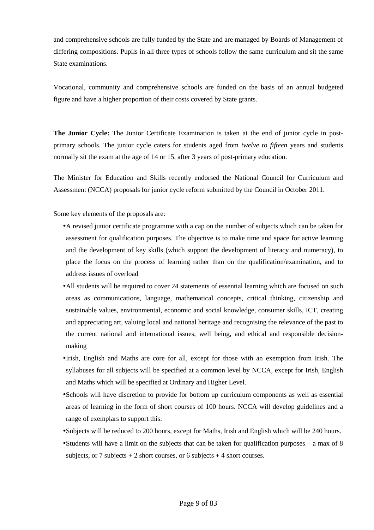and comprehensive schools are fully funded by the State and are managed by Boards of Management of differing compositions. Pupils in all three types of schools follow the same curriculum and sit the same State examinations.

Vocational, community and comprehensive schools are funded on the basis of an annual budgeted figure and have a higher proportion of their costs covered by State grants.

**The Junior Cycle:** The Junior Certificate Examination is taken at the end of junior cycle in postprimary schools. The junior cycle caters for students aged from *twelve to fifteen* years and students normally sit the exam at the age of 14 or 15, after 3 years of post-primary education.

The Minister for Education and Skills recently endorsed the National Council for Curriculum and Assessment (NCCA) proposals for junior cycle reform submitted by the Council in October 2011.

Some key elements of the proposals are:

- •A revised junior certificate programme with a cap on the number of subjects which can be taken for assessment for qualification purposes. The objective is to make time and space for active learning and the development of key skills (which support the development of literacy and numeracy), to place the focus on the process of learning rather than on the qualification/examination, and to address issues of overload
- •All students will be required to cover 24 statements of essential learning which are focused on such areas as communications, language, mathematical concepts, critical thinking, citizenship and sustainable values, environmental, economic and social knowledge, consumer skills, ICT, creating and appreciating art, valuing local and national heritage and recognising the relevance of the past to the current national and international issues, well being, and ethical and responsible decisionmaking
- •Irish, English and Maths are core for all, except for those with an exemption from Irish. The syllabuses for all subjects will be specified at a common level by NCCA, except for Irish, English and Maths which will be specified at Ordinary and Higher Level.
- •Schools will have discretion to provide for bottom up curriculum components as well as essential areas of learning in the form of short courses of 100 hours. NCCA will develop guidelines and a range of exemplars to support this.
- •Subjects will be reduced to 200 hours, except for Maths, Irish and English which will be 240 hours.
- •Students will have a limit on the subjects that can be taken for qualification purposes a max of 8 subjects, or 7 subjects  $+ 2$  short courses, or 6 subjects  $+ 4$  short courses.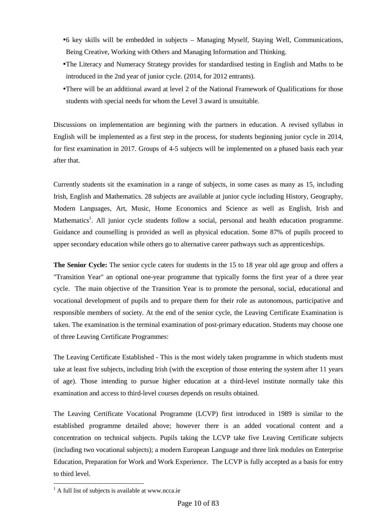- •6 key skills will be embedded in subjects Managing Myself, Staying Well, Communications, Being Creative, Working with Others and Managing Information and Thinking.
- •The Literacy and Numeracy Strategy provides for standardised testing in English and Maths to be introduced in the 2nd year of junior cycle. (2014, for 2012 entrants).
- •There will be an additional award at level 2 of the National Framework of Qualifications for those students with special needs for whom the Level 3 award is unsuitable.

Discussions on implementation are beginning with the partners in education. A revised syllabus in English will be implemented as a first step in the process, for students beginning junior cycle in 2014, for first examination in 2017. Groups of 4-5 subjects will be implemented on a phased basis each year after that.

Currently students sit the examination in a range of subjects, in some cases as many as 15, including Irish, English and Mathematics. 28 subjects are available at junior cycle including History, Geography, Modern Languages, Art, Music, Home Economics and Science as well as English, Irish and Mathematics<sup>1</sup>. All junior cycle students follow a social, personal and health education programme. Guidance and counselling is provided as well as physical education. Some 87% of pupils proceed to upper secondary education while others go to alternative career pathways such as apprenticeships.

**The Senior Cycle:** The senior cycle caters for students in the 15 to 18 year old age group and offers a "Transition Year" an optional one-year programme that typically forms the first year of a three year cycle. The main objective of the Transition Year is to promote the personal, social, educational and vocational development of pupils and to prepare them for their role as autonomous, participative and responsible members of society. At the end of the senior cycle, the Leaving Certificate Examination is taken. The examination is the terminal examination of post-primary education. Students may choose one of three Leaving Certificate Programmes:

The Leaving Certificate Established - This is the most widely taken programme in which students must take at least five subjects, including Irish (with the exception of those entering the system after 11 years of age). Those intending to pursue higher education at a third-level institute normally take this examination and access to third-level courses depends on results obtained.

The Leaving Certificate Vocational Programme (LCVP) first introduced in 1989 is similar to the established programme detailed above; however there is an added vocational content and a concentration on technical subjects. Pupils taking the LCVP take five Leaving Certificate subjects (including two vocational subjects); a modern European Language and three link modules on Enterprise Education, Preparation for Work and Work Experience. The LCVP is fully accepted as a basis for entry to third level.

 $\overline{a}$ 

<sup>&</sup>lt;sup>1</sup> A full list of subjects is available at www.ncca.ie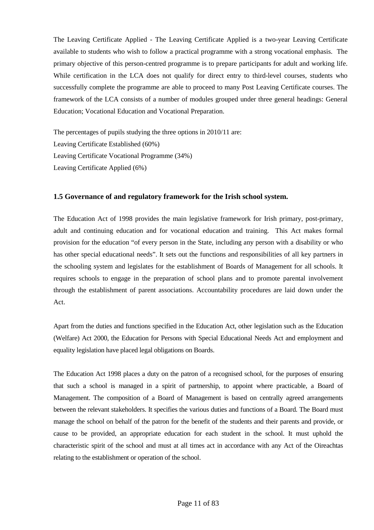The Leaving Certificate Applied - The Leaving Certificate Applied is a two-year Leaving Certificate available to students who wish to follow a practical programme with a strong vocational emphasis. The primary objective of this person-centred programme is to prepare participants for adult and working life. While certification in the LCA does not qualify for direct entry to third-level courses, students who successfully complete the programme are able to proceed to many Post Leaving Certificate courses. The framework of the LCA consists of a number of modules grouped under three general headings: General Education; Vocational Education and Vocational Preparation.

The percentages of pupils studying the three options in 2010/11 are: Leaving Certificate Established (60%) Leaving Certificate Vocational Programme (34%) Leaving Certificate Applied (6%)

### **1.5 Governance of and regulatory framework for the Irish school system.**

The Education Act of 1998 provides the main legislative framework for Irish primary, post-primary, adult and continuing education and for vocational education and training. This Act makes formal provision for the education "of every person in the State, including any person with a disability or who has other special educational needs". It sets out the functions and responsibilities of all key partners in the schooling system and legislates for the establishment of Boards of Management for all schools. It requires schools to engage in the preparation of school plans and to promote parental involvement through the establishment of parent associations. Accountability procedures are laid down under the Act.

Apart from the duties and functions specified in the Education Act, other legislation such as the Education (Welfare) Act 2000, the Education for Persons with Special Educational Needs Act and employment and equality legislation have placed legal obligations on Boards.

The Education Act 1998 places a duty on the patron of a recognised school, for the purposes of ensuring that such a school is managed in a spirit of partnership, to appoint where practicable, a Board of Management. The composition of a Board of Management is based on centrally agreed arrangements between the relevant stakeholders. It specifies the various duties and functions of a Board. The Board must manage the school on behalf of the patron for the benefit of the students and their parents and provide, or cause to be provided, an appropriate education for each student in the school. It must uphold the characteristic spirit of the school and must at all times act in accordance with any Act of the Oireachtas relating to the establishment or operation of the school.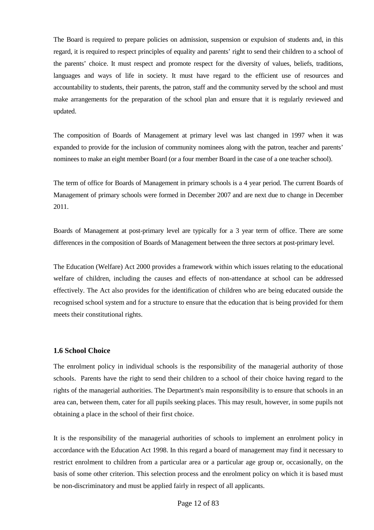The Board is required to prepare policies on admission, suspension or expulsion of students and, in this regard, it is required to respect principles of equality and parents' right to send their children to a school of the parents' choice. It must respect and promote respect for the diversity of values, beliefs, traditions, languages and ways of life in society. It must have regard to the efficient use of resources and accountability to students, their parents, the patron, staff and the community served by the school and must make arrangements for the preparation of the school plan and ensure that it is regularly reviewed and updated.

The composition of Boards of Management at primary level was last changed in 1997 when it was expanded to provide for the inclusion of community nominees along with the patron, teacher and parents' nominees to make an eight member Board (or a four member Board in the case of a one teacher school).

The term of office for Boards of Management in primary schools is a 4 year period. The current Boards of Management of primary schools were formed in December 2007 and are next due to change in December 2011.

Boards of Management at post-primary level are typically for a 3 year term of office. There are some differences in the composition of Boards of Management between the three sectors at post-primary level.

The Education (Welfare) Act 2000 provides a framework within which issues relating to the educational welfare of children, including the causes and effects of non-attendance at school can be addressed effectively. The Act also provides for the identification of children who are being educated outside the recognised school system and for a structure to ensure that the education that is being provided for them meets their constitutional rights.

#### **1.6 School Choice**

The enrolment policy in individual schools is the responsibility of the managerial authority of those schools. Parents have the right to send their children to a school of their choice having regard to the rights of the managerial authorities. The Department's main responsibility is to ensure that schools in an area can, between them, cater for all pupils seeking places. This may result, however, in some pupils not obtaining a place in the school of their first choice.

It is the responsibility of the managerial authorities of schools to implement an enrolment policy in accordance with the Education Act 1998. In this regard a board of management may find it necessary to restrict enrolment to children from a particular area or a particular age group or, occasionally, on the basis of some other criterion. This selection process and the enrolment policy on which it is based must be non-discriminatory and must be applied fairly in respect of all applicants.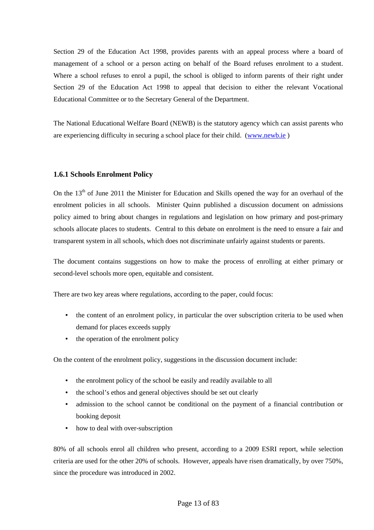Section 29 of the Education Act 1998, provides parents with an appeal process where a board of management of a school or a person acting on behalf of the Board refuses enrolment to a student. Where a school refuses to enrol a pupil, the school is obliged to inform parents of their right under Section 29 of the Education Act 1998 to appeal that decision to either the relevant Vocational Educational Committee or to the Secretary General of the Department.

The National Educational Welfare Board (NEWB) is the statutory agency which can assist parents who are experiencing difficulty in securing a school place for their child. (www.newb.ie )

## **1.6.1 Schools Enrolment Policy**

On the 13<sup>th</sup> of June 2011 the Minister for Education and Skills opened the way for an overhaul of the enrolment policies in all schools. Minister Quinn published a discussion document on admissions policy aimed to bring about changes in regulations and legislation on how primary and post-primary schools allocate places to students. Central to this debate on enrolment is the need to ensure a fair and transparent system in all schools, which does not discriminate unfairly against students or parents.

The document contains suggestions on how to make the process of enrolling at either primary or second-level schools more open, equitable and consistent.

There are two key areas where regulations, according to the paper, could focus:

- the content of an enrolment policy, in particular the over subscription criteria to be used when demand for places exceeds supply
- the operation of the enrolment policy

On the content of the enrolment policy, suggestions in the discussion document include:

- the enrolment policy of the school be easily and readily available to all
- the school's ethos and general objectives should be set out clearly
- admission to the school cannot be conditional on the payment of a financial contribution or booking deposit
- how to deal with over-subscription

80% of all schools enrol all children who present, according to a 2009 ESRI report, while selection criteria are used for the other 20% of schools. However, appeals have risen dramatically, by over 750%, since the procedure was introduced in 2002.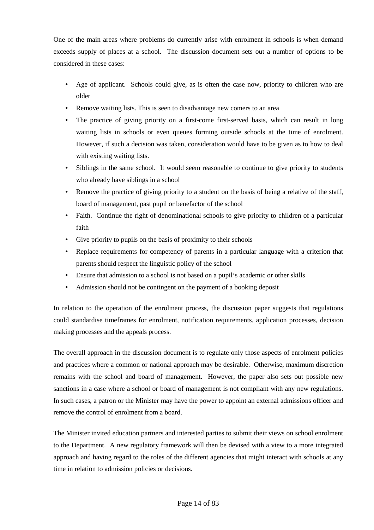One of the main areas where problems do currently arise with enrolment in schools is when demand exceeds supply of places at a school. The discussion document sets out a number of options to be considered in these cases:

- Age of applicant. Schools could give, as is often the case now, priority to children who are older
- Remove waiting lists. This is seen to disadvantage new comers to an area
- The practice of giving priority on a first-come first-served basis, which can result in long waiting lists in schools or even queues forming outside schools at the time of enrolment. However, if such a decision was taken, consideration would have to be given as to how to deal with existing waiting lists.
- Siblings in the same school. It would seem reasonable to continue to give priority to students who already have siblings in a school
- Remove the practice of giving priority to a student on the basis of being a relative of the staff, board of management, past pupil or benefactor of the school
- Faith. Continue the right of denominational schools to give priority to children of a particular faith
- Give priority to pupils on the basis of proximity to their schools
- Replace requirements for competency of parents in a particular language with a criterion that parents should respect the linguistic policy of the school
- Ensure that admission to a school is not based on a pupil's academic or other skills
- Admission should not be contingent on the payment of a booking deposit

In relation to the operation of the enrolment process, the discussion paper suggests that regulations could standardise timeframes for enrolment, notification requirements, application processes, decision making processes and the appeals process.

The overall approach in the discussion document is to regulate only those aspects of enrolment policies and practices where a common or national approach may be desirable. Otherwise, maximum discretion remains with the school and board of management. However, the paper also sets out possible new sanctions in a case where a school or board of management is not compliant with any new regulations. In such cases, a patron or the Minister may have the power to appoint an external admissions officer and remove the control of enrolment from a board.

The Minister invited education partners and interested parties to submit their views on school enrolment to the Department. A new regulatory framework will then be devised with a view to a more integrated approach and having regard to the roles of the different agencies that might interact with schools at any time in relation to admission policies or decisions.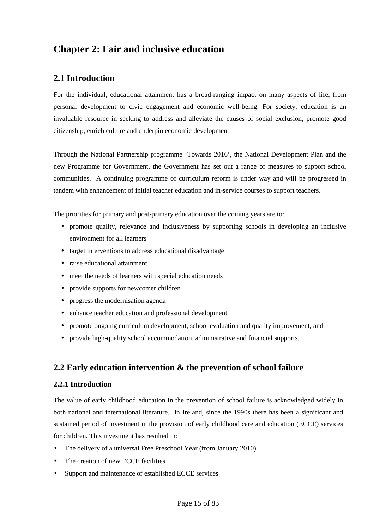## **Chapter 2: Fair and inclusive education**

## **2.1 Introduction**

For the individual, educational attainment has a broad-ranging impact on many aspects of life, from personal development to civic engagement and economic well-being. For society, education is an invaluable resource in seeking to address and alleviate the causes of social exclusion, promote good citizenship, enrich culture and underpin economic development.

Through the National Partnership programme 'Towards 2016', the National Development Plan and the new Programme for Government, the Government has set out a range of measures to support school communities. A continuing programme of curriculum reform is under way and will be progressed in tandem with enhancement of initial teacher education and in-service courses to support teachers.

The priorities for primary and post-primary education over the coming years are to:

- promote quality, relevance and inclusiveness by supporting schools in developing an inclusive environment for all learners
- target interventions to address educational disadvantage
- raise educational attainment
- meet the needs of learners with special education needs
- provide supports for newcomer children
- progress the modernisation agenda
- enhance teacher education and professional development
- promote ongoing curriculum development, school evaluation and quality improvement, and
- provide high-quality school accommodation, administrative and financial supports.

## **2.2 Early education intervention & the prevention of school failure**

## **2.2.1 Introduction**

The value of early childhood education in the prevention of school failure is acknowledged widely in both national and international literature. In Ireland, since the 1990s there has been a significant and sustained period of investment in the provision of early childhood care and education (ECCE) services for children. This investment has resulted in:

- The delivery of a universal Free Preschool Year (from January 2010)
- The creation of new ECCE facilities
- Support and maintenance of established ECCE services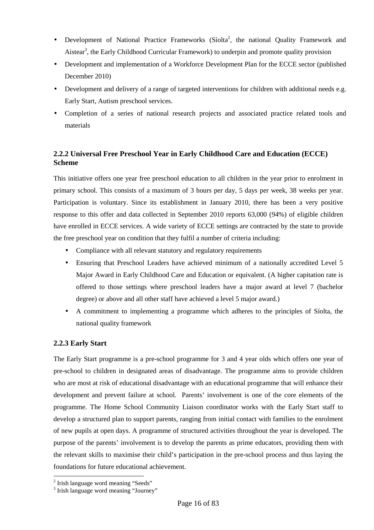- Development of National Practice Frameworks (Síolta<sup>2</sup>, the national Quality Framework and Aistear<sup>3</sup>, the Early Childhood Curricular Framework) to underpin and promote quality provision
- Development and implementation of a Workforce Development Plan for the ECCE sector (published December 2010)
- Development and delivery of a range of targeted interventions for children with additional needs e.g. Early Start, Autism preschool services.
- Completion of a series of national research projects and associated practice related tools and materials

## **2.2.2 Universal Free Preschool Year in Early Childhood Care and Education (ECCE) Scheme**

This initiative offers one year free preschool education to all children in the year prior to enrolment in primary school. This consists of a maximum of 3 hours per day, 5 days per week, 38 weeks per year. Participation is voluntary. Since its establishment in January 2010, there has been a very positive response to this offer and data collected in September 2010 reports 63,000 (94%) of eligible children have enrolled in ECCE services. A wide variety of ECCE settings are contracted by the state to provide the free preschool year on condition that they fulfil a number of criteria including:

- Compliance with all relevant statutory and regulatory requirements
- Ensuring that Preschool Leaders have achieved minimum of a nationally accredited Level 5 Major Award in Early Childhood Care and Education or equivalent. (A higher capitation rate is offered to those settings where preschool leaders have a major award at level 7 (bachelor degree) or above and all other staff have achieved a level 5 major award.)
- A commitment to implementing a programme which adheres to the principles of Síolta, the national quality framework

## **2.2.3 Early Start**

The Early Start programme is a pre-school programme for 3 and 4 year olds which offers one year of pre-school to children in designated areas of disadvantage. The programme aims to provide children who are most at risk of educational disadvantage with an educational programme that will enhance their development and prevent failure at school. Parents' involvement is one of the core elements of the programme. The Home School Community Liaison coordinator works with the Early Start staff to develop a structured plan to support parents, ranging from initial contact with families to the enrolment of new pupils at open days. A programme of structured activities throughout the year is developed. The purpose of the parents' involvement is to develop the parents as prime educators, providing them with the relevant skills to maximise their child's participation in the pre-school process and thus laying the foundations for future educational achievement.

 $\overline{a}$ 

<sup>&</sup>lt;sup>2</sup> Irish language word meaning "Seeds"

<sup>&</sup>lt;sup>3</sup> Irish language word meaning "Journey"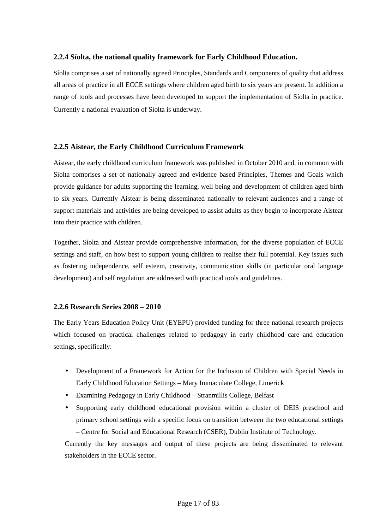### **2.2.4 Síolta, the national quality framework for Early Childhood Education.**

Síolta comprises a set of nationally agreed Principles, Standards and Components of quality that address all areas of practice in all ECCE settings where children aged birth to six years are present. In addition a range of tools and processes have been developed to support the implementation of Síolta in practice. Currently a national evaluation of Síolta is underway.

### **2.2.5 Aistear, the Early Childhood Curriculum Framework**

Aistear, the early childhood curriculum framework was published in October 2010 and, in common with Síolta comprises a set of nationally agreed and evidence based Principles, Themes and Goals which provide guidance for adults supporting the learning, well being and development of children aged birth to six years. Currently Aistear is being disseminated nationally to relevant audiences and a range of support materials and activities are being developed to assist adults as they begin to incorporate Aistear into their practice with children.

Together, Síolta and Aistear provide comprehensive information, for the diverse population of ECCE settings and staff, on how best to support young children to realise their full potential. Key issues such as fostering independence, self esteem, creativity, communication skills (in particular oral language development) and self regulation are addressed with practical tools and guidelines.

## **2.2.6 Research Series 2008 – 2010**

The Early Years Education Policy Unit (EYEPU) provided funding for three national research projects which focused on practical challenges related to pedagogy in early childhood care and education settings, specifically:

- Development of a Framework for Action for the Inclusion of Children with Special Needs in Early Childhood Education Settings – Mary Immaculate College, Limerick
- Examining Pedagogy in Early Childhood Stranmillis College, Belfast
- Supporting early childhood educational provision within a cluster of DEIS preschool and primary school settings with a specific focus on transition between the two educational settings – Centre for Social and Educational Research (CSER), Dublin Institute of Technology.

Currently the key messages and output of these projects are being disseminated to relevant stakeholders in the ECCE sector.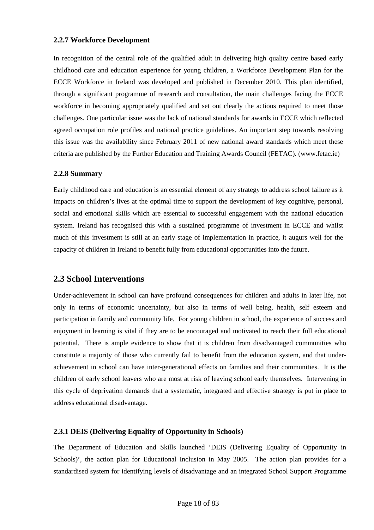## **2.2.7 Workforce Development**

In recognition of the central role of the qualified adult in delivering high quality centre based early childhood care and education experience for young children, a Workforce Development Plan for the ECCE Workforce in Ireland was developed and published in December 2010. This plan identified, through a significant programme of research and consultation, the main challenges facing the ECCE workforce in becoming appropriately qualified and set out clearly the actions required to meet those challenges. One particular issue was the lack of national standards for awards in ECCE which reflected agreed occupation role profiles and national practice guidelines. An important step towards resolving this issue was the availability since February 2011 of new national award standards which meet these criteria are published by the Further Education and Training Awards Council (FETAC). (www.fetac.ie)

## **2.2.8 Summary**

Early childhood care and education is an essential element of any strategy to address school failure as it impacts on children's lives at the optimal time to support the development of key cognitive, personal, social and emotional skills which are essential to successful engagement with the national education system. Ireland has recognised this with a sustained programme of investment in ECCE and whilst much of this investment is still at an early stage of implementation in practice, it augurs well for the capacity of children in Ireland to benefit fully from educational opportunities into the future.

## **2.3 School Interventions**

Under-achievement in school can have profound consequences for children and adults in later life, not only in terms of economic uncertainty, but also in terms of well being, health, self esteem and participation in family and community life. For young children in school, the experience of success and enjoyment in learning is vital if they are to be encouraged and motivated to reach their full educational potential. There is ample evidence to show that it is children from disadvantaged communities who constitute a majority of those who currently fail to benefit from the education system, and that underachievement in school can have inter-generational effects on families and their communities. It is the children of early school leavers who are most at risk of leaving school early themselves. Intervening in this cycle of deprivation demands that a systematic, integrated and effective strategy is put in place to address educational disadvantage.

## **2.3.1 DEIS (Delivering Equality of Opportunity in Schools)**

The Department of Education and Skills launched 'DEIS (Delivering Equality of Opportunity in Schools)', the action plan for Educational Inclusion in May 2005. The action plan provides for a standardised system for identifying levels of disadvantage and an integrated School Support Programme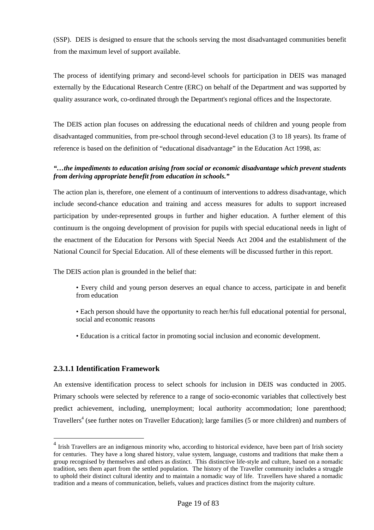(SSP). DEIS is designed to ensure that the schools serving the most disadvantaged communities benefit from the maximum level of support available.

The process of identifying primary and second-level schools for participation in DEIS was managed externally by the Educational Research Centre (ERC) on behalf of the Department and was supported by quality assurance work, co-ordinated through the Department's regional offices and the Inspectorate.

The DEIS action plan focuses on addressing the educational needs of children and young people from disadvantaged communities, from pre-school through second-level education (3 to 18 years). Its frame of reference is based on the definition of "educational disadvantage" in the Education Act 1998, as:

## *"…the impediments to education arising from social or economic disadvantage which prevent students from deriving appropriate benefit from education in schools."*

The action plan is, therefore, one element of a continuum of interventions to address disadvantage, which include second-chance education and training and access measures for adults to support increased participation by under-represented groups in further and higher education. A further element of this continuum is the ongoing development of provision for pupils with special educational needs in light of the enactment of the Education for Persons with Special Needs Act 2004 and the establishment of the National Council for Special Education. All of these elements will be discussed further in this report.

The DEIS action plan is grounded in the belief that:

- Every child and young person deserves an equal chance to access, participate in and benefit from education
- Each person should have the opportunity to reach her/his full educational potential for personal, social and economic reasons
- Education is a critical factor in promoting social inclusion and economic development.

## **2.3.1.1 Identification Framework**

 $\overline{a}$ 

An extensive identification process to select schools for inclusion in DEIS was conducted in 2005. Primary schools were selected by reference to a range of socio-economic variables that collectively best predict achievement, including, unemployment; local authority accommodation; lone parenthood; Travellers<sup>4</sup> (see further notes on Traveller Education); large families (5 or more children) and numbers of

<sup>&</sup>lt;sup>4</sup> Irish Travellers are an indigenous minority who, according to historical evidence, have been part of Irish society for centuries. They have a long shared history, value system, language, customs and traditions that make them a group recognised by themselves and others as distinct. This distinctive life-style and culture, based on a nomadic tradition, sets them apart from the settled population. The history of the Traveller community includes a struggle to uphold their distinct cultural identity and to maintain a nomadic way of life. Travellers have shared a nomadic tradition and a means of communication, beliefs, values and practices distinct from the majority culture.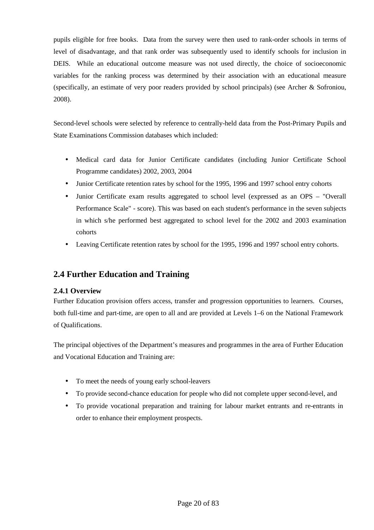pupils eligible for free books. Data from the survey were then used to rank-order schools in terms of level of disadvantage, and that rank order was subsequently used to identify schools for inclusion in DEIS. While an educational outcome measure was not used directly, the choice of socioeconomic variables for the ranking process was determined by their association with an educational measure (specifically, an estimate of very poor readers provided by school principals) (see Archer & Sofroniou, 2008).

Second-level schools were selected by reference to centrally-held data from the Post-Primary Pupils and State Examinations Commission databases which included:

- Medical card data for Junior Certificate candidates (including Junior Certificate School Programme candidates) 2002, 2003, 2004
- Junior Certificate retention rates by school for the 1995, 1996 and 1997 school entry cohorts
- Junior Certificate exam results aggregated to school level (expressed as an OPS "Overall" Performance Scale" - score). This was based on each student's performance in the seven subjects in which s/he performed best aggregated to school level for the 2002 and 2003 examination cohorts
- Leaving Certificate retention rates by school for the 1995, 1996 and 1997 school entry cohorts.

## **2.4 Further Education and Training**

## **2.4.1 Overview**

Further Education provision offers access, transfer and progression opportunities to learners. Courses, both full-time and part-time, are open to all and are provided at Levels 1–6 on the National Framework of Qualifications.

The principal objectives of the Department's measures and programmes in the area of Further Education and Vocational Education and Training are:

- To meet the needs of young early school-leavers
- To provide second-chance education for people who did not complete upper second-level, and
- To provide vocational preparation and training for labour market entrants and re-entrants in order to enhance their employment prospects.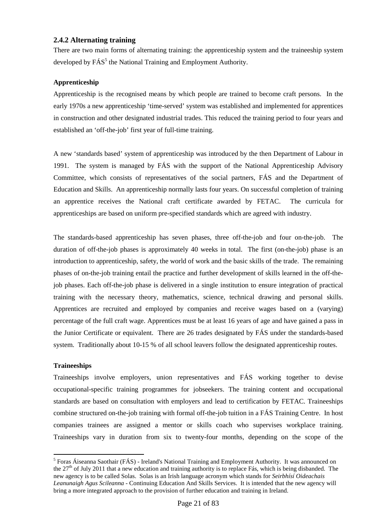## **2.4.2 Alternating training**

There are two main forms of alternating training: the apprenticeship system and the traineeship system developed by  $\tilde{\text{FAS}}^5$  the National Training and Employment Authority.

### **Apprenticeship**

Apprenticeship is the recognised means by which people are trained to become craft persons. In the early 1970s a new apprenticeship 'time-served' system was established and implemented for apprentices in construction and other designated industrial trades. This reduced the training period to four years and established an 'off-the-job' first year of full-time training.

A new 'standards based' system of apprenticeship was introduced by the then Department of Labour in 1991. The system is managed by FÁS with the support of the National Apprenticeship Advisory Committee, which consists of representatives of the social partners, FÁS and the Department of Education and Skills. An apprenticeship normally lasts four years. On successful completion of training an apprentice receives the National craft certificate awarded by FETAC. The curricula for apprenticeships are based on uniform pre-specified standards which are agreed with industry.

The standards-based apprenticeship has seven phases, three off-the-job and four on-the-job. The duration of off-the-job phases is approximately 40 weeks in total. The first (on-the-job) phase is an introduction to apprenticeship, safety, the world of work and the basic skills of the trade. The remaining phases of on-the-job training entail the practice and further development of skills learned in the off-thejob phases. Each off-the-job phase is delivered in a single institution to ensure integration of practical training with the necessary theory, mathematics, science, technical drawing and personal skills. Apprentices are recruited and employed by companies and receive wages based on a (varying) percentage of the full craft wage. Apprentices must be at least 16 years of age and have gained a pass in the Junior Certificate or equivalent. There are 26 trades designated by FÁS under the standards-based system. Traditionally about 10-15 % of all school leavers follow the designated apprenticeship routes.

#### **Traineeships**

Traineeships involve employers, union representatives and FÁS working together to devise occupational-specific training programmes for jobseekers. The training content and occupational standards are based on consultation with employers and lead to certification by FETAC. Traineeships combine structured on-the-job training with formal off-the-job tuition in a FÁS Training Centre. In host companies trainees are assigned a mentor or skills coach who supervises workplace training. Traineeships vary in duration from six to twenty-four months, depending on the scope of the

<sup>&</sup>lt;sup>5</sup> Foras Áiseanna Saothair (FÁS) - Ireland's National Training and Employment Authority. It was announced on the 27<sup>th</sup> of July 2011 that a new education and training authority is to replace Fás, which is being disbanded. The new agency is to be called Solas. Solas is an Irish language acronym which stands for *Seirbhísí Oideachais Leanunaigh Agus Scileanna* - Continuing Education And Skills Services. It is intended that the new agency will bring a more integrated approach to the provision of further education and training in Ireland.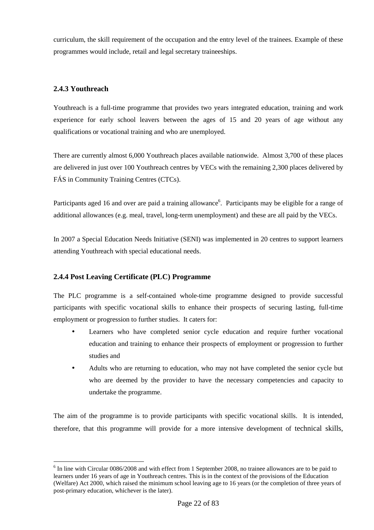curriculum, the skill requirement of the occupation and the entry level of the trainees. Example of these programmes would include, retail and legal secretary traineeships.

## **2.4.3 Youthreach**

 $\overline{a}$ 

Youthreach is a full-time programme that provides two years integrated education, training and work experience for early school leavers between the ages of 15 and 20 years of age without any qualifications or vocational training and who are unemployed.

There are currently almost 6,000 Youthreach places available nationwide. Almost 3,700 of these places are delivered in just over 100 Youthreach centres by VECs with the remaining 2,300 places delivered by FÁS in Community Training Centres (CTCs).

Participants aged 16 and over are paid a training allowance<sup>6</sup>. Participants may be eligible for a range of additional allowances (e.g. meal, travel, long-term unemployment) and these are all paid by the VECs.

In 2007 a Special Education Needs Initiative (SENI) was implemented in 20 centres to support learners attending Youthreach with special educational needs.

## **2.4.4 Post Leaving Certificate (PLC) Programme**

The PLC programme is a self-contained whole-time programme designed to provide successful participants with specific vocational skills to enhance their prospects of securing lasting, full-time employment or progression to further studies. It caters for:

- Learners who have completed senior cycle education and require further vocational education and training to enhance their prospects of employment or progression to further studies and
- Adults who are returning to education, who may not have completed the senior cycle but who are deemed by the provider to have the necessary competencies and capacity to undertake the programme.

The aim of the programme is to provide participants with specific vocational skills. It is intended, therefore, that this programme will provide for a more intensive development of technical skills,

<sup>&</sup>lt;sup>6</sup> In line with Circular 0086/2008 and with effect from 1 September 2008, no trainee allowances are to be paid to learners under 16 years of age in Youthreach centres. This is in the context of the provisions of the Education (Welfare) Act 2000, which raised the minimum school leaving age to 16 years (or the completion of three years of post-primary education, whichever is the later).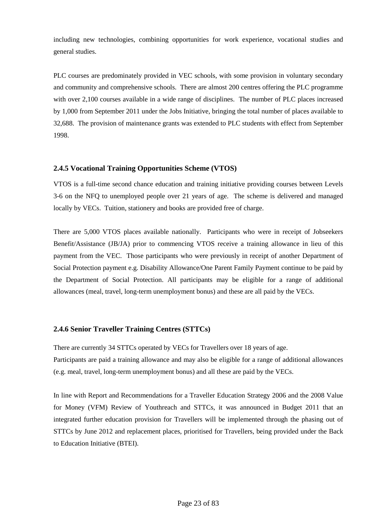including new technologies, combining opportunities for work experience, vocational studies and general studies.

PLC courses are predominately provided in VEC schools, with some provision in voluntary secondary and community and comprehensive schools. There are almost 200 centres offering the PLC programme with over 2,100 courses available in a wide range of disciplines. The number of PLC places increased by 1,000 from September 2011 under the Jobs Initiative, bringing the total number of places available to 32,688. The provision of maintenance grants was extended to PLC students with effect from September 1998.

## **2.4.5 Vocational Training Opportunities Scheme (VTOS)**

VTOS is a full-time second chance education and training initiative providing courses between Levels 3-6 on the NFQ to unemployed people over 21 years of age. The scheme is delivered and managed locally by VECs. Tuition, stationery and books are provided free of charge.

There are 5,000 VTOS places available nationally. Participants who were in receipt of Jobseekers Benefit/Assistance (JB/JA) prior to commencing VTOS receive a training allowance in lieu of this payment from the VEC. Those participants who were previously in receipt of another Department of Social Protection payment e.g. Disability Allowance/One Parent Family Payment continue to be paid by the Department of Social Protection. All participants may be eligible for a range of additional allowances (meal, travel, long-term unemployment bonus) and these are all paid by the VECs.

#### **2.4.6 Senior Traveller Training Centres (STTCs)**

There are currently 34 STTCs operated by VECs for Travellers over 18 years of age. Participants are paid a training allowance and may also be eligible for a range of additional allowances (e.g. meal, travel, long-term unemployment bonus) and all these are paid by the VECs.

In line with Report and Recommendations for a Traveller Education Strategy 2006 and the 2008 Value for Money (VFM) Review of Youthreach and STTCs, it was announced in Budget 2011 that an integrated further education provision for Travellers will be implemented through the phasing out of STTCs by June 2012 and replacement places, prioritised for Travellers, being provided under the Back to Education Initiative (BTEI).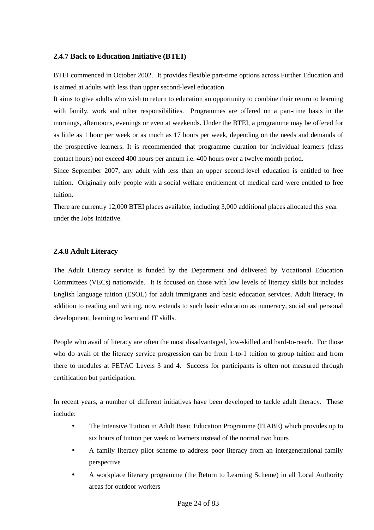### **2.4.7 Back to Education Initiative (BTEI)**

BTEI commenced in October 2002. It provides flexible part-time options across Further Education and is aimed at adults with less than upper second-level education.

It aims to give adults who wish to return to education an opportunity to combine their return to learning with family, work and other responsibilities. Programmes are offered on a part-time basis in the mornings, afternoons, evenings or even at weekends. Under the BTEI, a programme may be offered for as little as 1 hour per week or as much as 17 hours per week, depending on the needs and demands of the prospective learners. It is recommended that programme duration for individual learners (class contact hours) not exceed 400 hours per annum i.e. 400 hours over a twelve month period.

Since September 2007, any adult with less than an upper second-level education is entitled to free tuition. Originally only people with a social welfare entitlement of medical card were entitled to free tuition.

There are currently 12,000 BTEI places available, including 3,000 additional places allocated this year under the Jobs Initiative.

### **2.4.8 Adult Literacy**

The Adult Literacy service is funded by the Department and delivered by Vocational Education Committees (VECs) nationwide. It is focused on those with low levels of literacy skills but includes English language tuition (ESOL) for adult immigrants and basic education services. Adult literacy, in addition to reading and writing, now extends to such basic education as numeracy, social and personal development, learning to learn and IT skills.

People who avail of literacy are often the most disadvantaged, low-skilled and hard-to-reach. For those who do avail of the literacy service progression can be from 1-to-1 tuition to group tuition and from there to modules at FETAC Levels 3 and 4. Success for participants is often not measured through certification but participation.

In recent years, a number of different initiatives have been developed to tackle adult literacy. These include:

- The Intensive Tuition in Adult Basic Education Programme (ITABE) which provides up to six hours of tuition per week to learners instead of the normal two hours
- A family literacy pilot scheme to address poor literacy from an intergenerational family perspective
- A workplace literacy programme (the Return to Learning Scheme) in all Local Authority areas for outdoor workers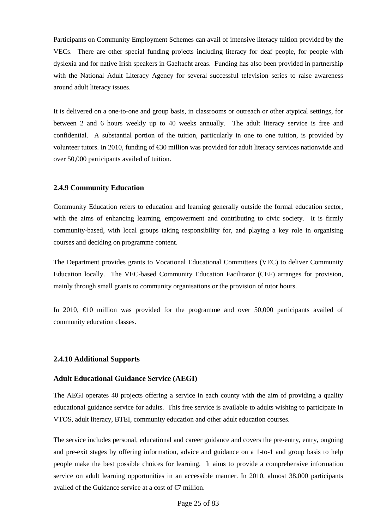Participants on Community Employment Schemes can avail of intensive literacy tuition provided by the VECs. There are other special funding projects including literacy for deaf people, for people with dyslexia and for native Irish speakers in Gaeltacht areas. Funding has also been provided in partnership with the National Adult Literacy Agency for several successful television series to raise awareness around adult literacy issues.

It is delivered on a one-to-one and group basis, in classrooms or outreach or other atypical settings, for between 2 and 6 hours weekly up to 40 weeks annually. The adult literacy service is free and confidential. A substantial portion of the tuition, particularly in one to one tuition, is provided by volunteer tutors. In 2010, funding of €30 million was provided for adult literacy services nationwide and over 50,000 participants availed of tuition.

#### **2.4.9 Community Education**

Community Education refers to education and learning generally outside the formal education sector, with the aims of enhancing learning, empowerment and contributing to civic society. It is firmly community-based, with local groups taking responsibility for, and playing a key role in organising courses and deciding on programme content.

The Department provides grants to Vocational Educational Committees (VEC) to deliver Community Education locally. The VEC-based Community Education Facilitator (CEF) arranges for provision, mainly through small grants to community organisations or the provision of tutor hours.

In 2010,  $\epsilon$ 10 million was provided for the programme and over 50,000 participants availed of community education classes.

#### **2.4.10 Additional Supports**

#### **Adult Educational Guidance Service (AEGI)**

The AEGI operates 40 projects offering a service in each county with the aim of providing a quality educational guidance service for adults. This free service is available to adults wishing to participate in VTOS, adult literacy, BTEI, community education and other adult education courses.

The service includes personal, educational and career guidance and covers the pre-entry, entry, ongoing and pre-exit stages by offering information, advice and guidance on a 1-to-1 and group basis to help people make the best possible choices for learning. It aims to provide a comprehensive information service on adult learning opportunities in an accessible manner. In 2010, almost 38,000 participants availed of the Guidance service at a cost of  $\epsilon$ 7 milion.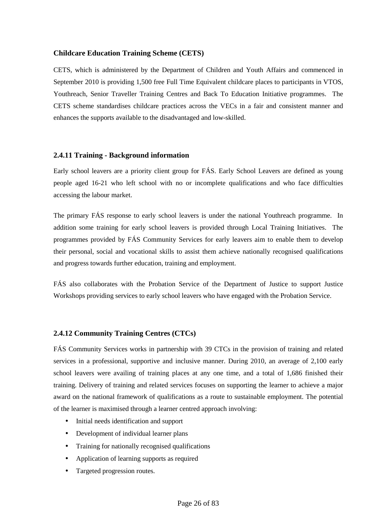### **Childcare Education Training Scheme (CETS)**

CETS, which is administered by the Department of Children and Youth Affairs and commenced in September 2010 is providing 1,500 free Full Time Equivalent childcare places to participants in VTOS, Youthreach, Senior Traveller Training Centres and Back To Education Initiative programmes. The CETS scheme standardises childcare practices across the VECs in a fair and consistent manner and enhances the supports available to the disadvantaged and low-skilled.

### **2.4.11 Training - Background information**

Early school leavers are a priority client group for FÁS. Early School Leavers are defined as young people aged 16-21 who left school with no or incomplete qualifications and who face difficulties accessing the labour market.

The primary FÁS response to early school leavers is under the national Youthreach programme. In addition some training for early school leavers is provided through Local Training Initiatives. The programmes provided by FÁS Community Services for early leavers aim to enable them to develop their personal, social and vocational skills to assist them achieve nationally recognised qualifications and progress towards further education, training and employment.

FÁS also collaborates with the Probation Service of the Department of Justice to support Justice Workshops providing services to early school leavers who have engaged with the Probation Service.

#### **2.4.12 Community Training Centres (CTCs)**

FÁS Community Services works in partnership with 39 CTCs in the provision of training and related services in a professional, supportive and inclusive manner. During 2010, an average of 2,100 early school leavers were availing of training places at any one time, and a total of 1,686 finished their training. Delivery of training and related services focuses on supporting the learner to achieve a major award on the national framework of qualifications as a route to sustainable employment. The potential of the learner is maximised through a learner centred approach involving:

- Initial needs identification and support
- Development of individual learner plans
- Training for nationally recognised qualifications
- Application of learning supports as required
- Targeted progression routes.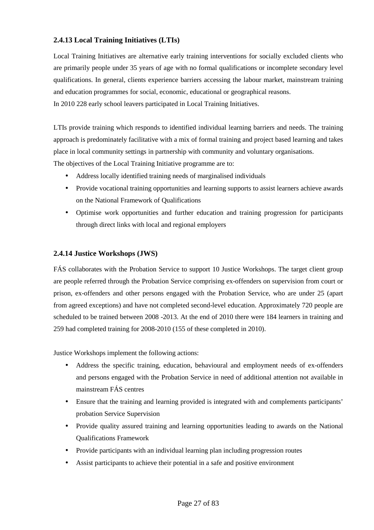## **2.4.13 Local Training Initiatives (LTIs)**

Local Training Initiatives are alternative early training interventions for socially excluded clients who are primarily people under 35 years of age with no formal qualifications or incomplete secondary level qualifications. In general, clients experience barriers accessing the labour market, mainstream training and education programmes for social, economic, educational or geographical reasons. In 2010 228 early school leavers participated in Local Training Initiatives.

LTIs provide training which responds to identified individual learning barriers and needs. The training approach is predominately facilitative with a mix of formal training and project based learning and takes place in local community settings in partnership with community and voluntary organisations. The objectives of the Local Training Initiative programme are to:

- Address locally identified training needs of marginalised individuals
- Provide vocational training opportunities and learning supports to assist learners achieve awards on the National Framework of Qualifications
- Optimise work opportunities and further education and training progression for participants through direct links with local and regional employers

## **2.4.14 Justice Workshops (JWS)**

FÁS collaborates with the Probation Service to support 10 Justice Workshops. The target client group are people referred through the Probation Service comprising ex-offenders on supervision from court or prison, ex-offenders and other persons engaged with the Probation Service, who are under 25 (apart from agreed exceptions) and have not completed second-level education. Approximately 720 people are scheduled to be trained between 2008 -2013. At the end of 2010 there were 184 learners in training and 259 had completed training for 2008-2010 (155 of these completed in 2010).

Justice Workshops implement the following actions:

- Address the specific training, education, behavioural and employment needs of ex-offenders and persons engaged with the Probation Service in need of additional attention not available in mainstream FÁS centres
- Ensure that the training and learning provided is integrated with and complements participants' probation Service Supervision
- Provide quality assured training and learning opportunities leading to awards on the National Qualifications Framework
- Provide participants with an individual learning plan including progression routes
- Assist participants to achieve their potential in a safe and positive environment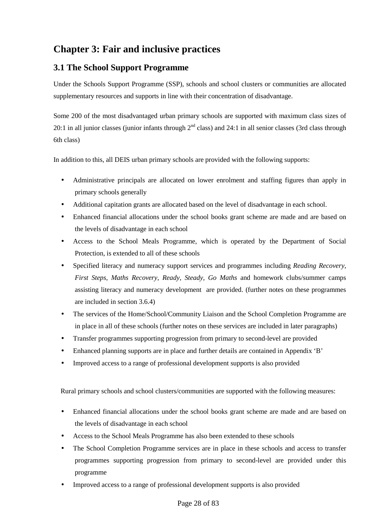## **Chapter 3: Fair and inclusive practices**

## **3.1 The School Support Programme**

Under the Schools Support Programme (SSP), schools and school clusters or communities are allocated supplementary resources and supports in line with their concentration of disadvantage.

Some 200 of the most disadvantaged urban primary schools are supported with maximum class sizes of 20:1 in all junior classes (junior infants through  $2<sup>nd</sup>$  class) and 24:1 in all senior classes (3rd class through 6th class)

In addition to this, all DEIS urban primary schools are provided with the following supports:

- Administrative principals are allocated on lower enrolment and staffing figures than apply in primary schools generally
- Additional capitation grants are allocated based on the level of disadvantage in each school.
- Enhanced financial allocations under the school books grant scheme are made and are based on the levels of disadvantage in each school
- Access to the School Meals Programme, which is operated by the Department of Social Protection, is extended to all of these schools
- Specified literacy and numeracy support services and programmes including *Reading Recovery, First Steps, Maths Recovery*, *Ready, Steady, Go Maths* and homework clubs/summer camps assisting literacy and numeracy development are provided. (further notes on these programmes are included in section 3.6.4)
- The services of the Home/School/Community Liaison and the School Completion Programme are in place in all of these schools (further notes on these services are included in later paragraphs)
- Transfer programmes supporting progression from primary to second-level are provided
- Enhanced planning supports are in place and further details are contained in Appendix 'B'
- Improved access to a range of professional development supports is also provided

Rural primary schools and school clusters/communities are supported with the following measures:

- Enhanced financial allocations under the school books grant scheme are made and are based on the levels of disadvantage in each school
- Access to the School Meals Programme has also been extended to these schools
- The School Completion Programme services are in place in these schools and access to transfer programmes supporting progression from primary to second-level are provided under this programme
- Improved access to a range of professional development supports is also provided

#### Page 28 of 83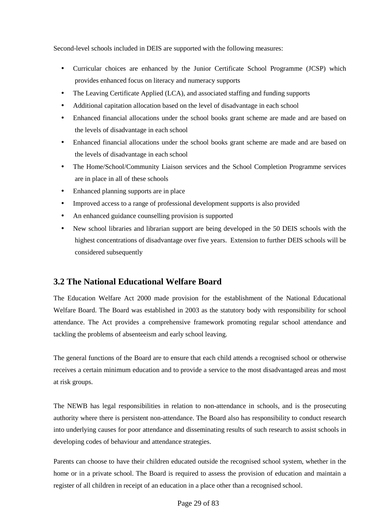Second-level schools included in DEIS are supported with the following measures:

- Curricular choices are enhanced by the Junior Certificate School Programme (JCSP) which provides enhanced focus on literacy and numeracy supports
- The Leaving Certificate Applied (LCA), and associated staffing and funding supports
- Additional capitation allocation based on the level of disadvantage in each school
- Enhanced financial allocations under the school books grant scheme are made and are based on the levels of disadvantage in each school
- Enhanced financial allocations under the school books grant scheme are made and are based on the levels of disadvantage in each school
- The Home/School/Community Liaison services and the School Completion Programme services are in place in all of these schools
- Enhanced planning supports are in place
- Improved access to a range of professional development supports is also provided
- An enhanced guidance counselling provision is supported
- New school libraries and librarian support are being developed in the 50 DEIS schools with the highest concentrations of disadvantage over five years. Extension to further DEIS schools will be considered subsequently

## **3.2 The National Educational Welfare Board**

The Education Welfare Act 2000 made provision for the establishment of the National Educational Welfare Board. The Board was established in 2003 as the statutory body with responsibility for school attendance. The Act provides a comprehensive framework promoting regular school attendance and tackling the problems of absenteeism and early school leaving.

The general functions of the Board are to ensure that each child attends a recognised school or otherwise receives a certain minimum education and to provide a service to the most disadvantaged areas and most at risk groups.

The NEWB has legal responsibilities in relation to non-attendance in schools, and is the prosecuting authority where there is persistent non-attendance. The Board also has responsibility to conduct research into underlying causes for poor attendance and disseminating results of such research to assist schools in developing codes of behaviour and attendance strategies.

Parents can choose to have their children educated outside the recognised school system, whether in the home or in a private school. The Board is required to assess the provision of education and maintain a register of all children in receipt of an education in a place other than a recognised school.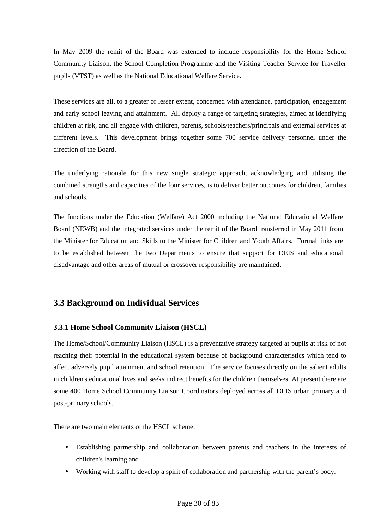In May 2009 the remit of the Board was extended to include responsibility for the Home School Community Liaison, the School Completion Programme and the Visiting Teacher Service for Traveller pupils (VTST) as well as the National Educational Welfare Service.

These services are all, to a greater or lesser extent, concerned with attendance, participation, engagement and early school leaving and attainment. All deploy a range of targeting strategies, aimed at identifying children at risk, and all engage with children, parents, schools/teachers/principals and external services at different levels. This development brings together some 700 service delivery personnel under the direction of the Board.

The underlying rationale for this new single strategic approach, acknowledging and utilising the combined strengths and capacities of the four services, is to deliver better outcomes for children, families and schools.

The functions under the Education (Welfare) Act 2000 including the National Educational Welfare Board (NEWB) and the integrated services under the remit of the Board transferred in May 2011 from the Minister for Education and Skills to the Minister for Children and Youth Affairs. Formal links are to be established between the two Departments to ensure that support for DEIS and educational disadvantage and other areas of mutual or crossover responsibility are maintained.

## **3.3 Background on Individual Services**

## **3.3.1 Home School Community Liaison (HSCL)**

The Home/School/Community Liaison (HSCL) is a preventative strategy targeted at pupils at risk of not reaching their potential in the educational system because of background characteristics which tend to affect adversely pupil attainment and school retention. The service focuses directly on the salient adults in children's educational lives and seeks indirect benefits for the children themselves. At present there are some 400 Home School Community Liaison Coordinators deployed across all DEIS urban primary and post-primary schools.

There are two main elements of the HSCL scheme:

- Establishing partnership and collaboration between parents and teachers in the interests of children's learning and
- Working with staff to develop a spirit of collaboration and partnership with the parent's body.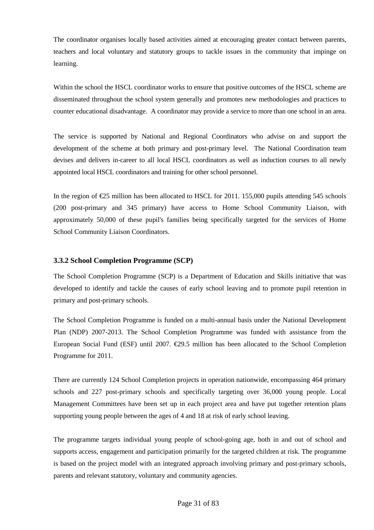The coordinator organises locally based activities aimed at encouraging greater contact between parents, teachers and local voluntary and statutory groups to tackle issues in the community that impinge on learning.

Within the school the HSCL coordinator works to ensure that positive outcomes of the HSCL scheme are disseminated throughout the school system generally and promotes new methodologies and practices to counter educational disadvantage. A coordinator may provide a service to more than one school in an area.

The service is supported by National and Regional Coordinators who advise on and support the development of the scheme at both primary and post-primary level. The National Coordination team devises and delivers in-career to all local HSCL coordinators as well as induction courses to all newly appointed local HSCL coordinators and training for other school personnel.

In the region of €25 million has been allocated to HSCL for 2011. 155,000 pupils attending 545 schools (200 post-primary and 345 primary) have access to Home School Community Liaison, with approximately 50,000 of these pupil's families being specifically targeted for the services of Home School Community Liaison Coordinators.

### **3.3.2 School Completion Programme (SCP)**

The School Completion Programme (SCP) is a Department of Education and Skills initiative that was developed to identify and tackle the causes of early school leaving and to promote pupil retention in primary and post-primary schools.

The School Completion Programme is funded on a multi-annual basis under the National Development Plan (NDP) 2007-2013. The School Completion Programme was funded with assistance from the European Social Fund (ESF) until 2007.  $\epsilon$ 29.5 million has been allocated to the School Completion Programme for 2011.

There are currently 124 School Completion projects in operation nationwide, encompassing 464 primary schools and 227 post-primary schools and specifically targeting over 36,000 young people. Local Management Committees have been set up in each project area and have put together retention plans supporting young people between the ages of 4 and 18 at risk of early school leaving.

The programme targets individual young people of school-going age, both in and out of school and supports access, engagement and participation primarily for the targeted children at risk. The programme is based on the project model with an integrated approach involving primary and post-primary schools, parents and relevant statutory, voluntary and community agencies.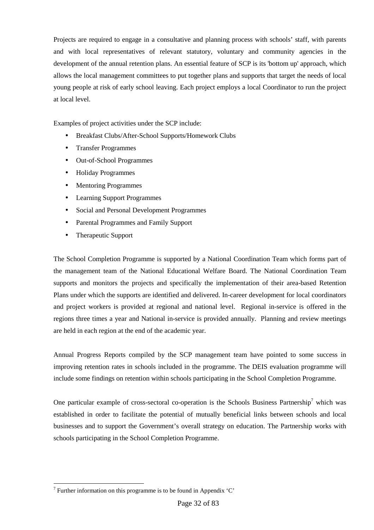Projects are required to engage in a consultative and planning process with schools' staff, with parents and with local representatives of relevant statutory, voluntary and community agencies in the development of the annual retention plans. An essential feature of SCP is its 'bottom up' approach, which allows the local management committees to put together plans and supports that target the needs of local young people at risk of early school leaving. Each project employs a local Coordinator to run the project at local level.

Examples of project activities under the SCP include:

- Breakfast Clubs/After-School Supports/Homework Clubs
- Transfer Programmes
- Out-of-School Programmes
- Holiday Programmes
- Mentoring Programmes
- Learning Support Programmes
- Social and Personal Development Programmes
- Parental Programmes and Family Support
- Therapeutic Support

The School Completion Programme is supported by a National Coordination Team which forms part of the management team of the National Educational Welfare Board. The National Coordination Team supports and monitors the projects and specifically the implementation of their area-based Retention Plans under which the supports are identified and delivered. In-career development for local coordinators and project workers is provided at regional and national level. Regional in-service is offered in the regions three times a year and National in-service is provided annually. Planning and review meetings are held in each region at the end of the academic year.

Annual Progress Reports compiled by the SCP management team have pointed to some success in improving retention rates in schools included in the programme. The DEIS evaluation programme will include some findings on retention within schools participating in the School Completion Programme.

One particular example of cross-sectoral co-operation is the Schools Business Partnership<sup>7</sup> which was established in order to facilitate the potential of mutually beneficial links between schools and local businesses and to support the Government's overall strategy on education. The Partnership works with schools participating in the School Completion Programme.

 $\overline{a}$ 

<sup>&</sup>lt;sup>7</sup> Further information on this programme is to be found in Appendix  $°C'$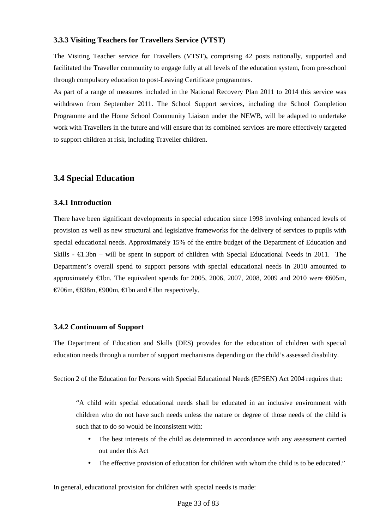#### **3.3.3 Visiting Teachers for Travellers Service (VTST)**

The Visiting Teacher service for Travellers (VTST)**,** comprising 42 posts nationally, supported and facilitated the Traveller community to engage fully at all levels of the education system, from pre-school through compulsory education to post-Leaving Certificate programmes.

As part of a range of measures included in the National Recovery Plan 2011 to 2014 this service was withdrawn from September 2011. The School Support services, including the School Completion Programme and the Home School Community Liaison under the NEWB, will be adapted to undertake work with Travellers in the future and will ensure that its combined services are more effectively targeted to support children at risk, including Traveller children.

## **3.4 Special Education**

## **3.4.1 Introduction**

There have been significant developments in special education since 1998 involving enhanced levels of provision as well as new structural and legislative frameworks for the delivery of services to pupils with special educational needs. Approximately 15% of the entire budget of the Department of Education and Skills -  $\epsilon$ 1.3bn – will be spent in support of children with Special Educational Needs in 2011. The Department's overall spend to support persons with special educational needs in 2010 amounted to approximately  $\epsilon$ 1bn. The equivalent spends for 2005, 2006, 2007, 2008, 2009 and 2010 were  $\epsilon$ 605m, €706m, €838m, €900m, €1bn and €1bn respectively.

### **3.4.2 Continuum of Support**

The Department of Education and Skills (DES) provides for the education of children with special education needs through a number of support mechanisms depending on the child's assessed disability.

Section 2 of the Education for Persons with Special Educational Needs (EPSEN) Act 2004 requires that:

"A child with special educational needs shall be educated in an inclusive environment with children who do not have such needs unless the nature or degree of those needs of the child is such that to do so would be inconsistent with:

- The best interests of the child as determined in accordance with any assessment carried out under this Act
- The effective provision of education for children with whom the child is to be educated."

In general, educational provision for children with special needs is made: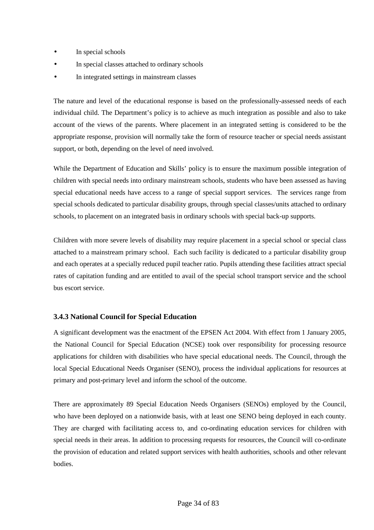- In special schools
- In special classes attached to ordinary schools
- In integrated settings in mainstream classes

The nature and level of the educational response is based on the professionally-assessed needs of each individual child. The Department's policy is to achieve as much integration as possible and also to take account of the views of the parents. Where placement in an integrated setting is considered to be the appropriate response, provision will normally take the form of resource teacher or special needs assistant support, or both, depending on the level of need involved.

While the Department of Education and Skills' policy is to ensure the maximum possible integration of children with special needs into ordinary mainstream schools, students who have been assessed as having special educational needs have access to a range of special support services. The services range from special schools dedicated to particular disability groups, through special classes/units attached to ordinary schools, to placement on an integrated basis in ordinary schools with special back-up supports.

Children with more severe levels of disability may require placement in a special school or special class attached to a mainstream primary school. Each such facility is dedicated to a particular disability group and each operates at a specially reduced pupil teacher ratio. Pupils attending these facilities attract special rates of capitation funding and are entitled to avail of the special school transport service and the school bus escort service.

## **3.4.3 National Council for Special Education**

A significant development was the enactment of the EPSEN Act 2004. With effect from 1 January 2005, the National Council for Special Education (NCSE) took over responsibility for processing resource applications for children with disabilities who have special educational needs. The Council, through the local Special Educational Needs Organiser (SENO), process the individual applications for resources at primary and post-primary level and inform the school of the outcome.

There are approximately 89 Special Education Needs Organisers (SENOs) employed by the Council, who have been deployed on a nationwide basis, with at least one SENO being deployed in each county. They are charged with facilitating access to, and co-ordinating education services for children with special needs in their areas. In addition to processing requests for resources, the Council will co-ordinate the provision of education and related support services with health authorities, schools and other relevant bodies.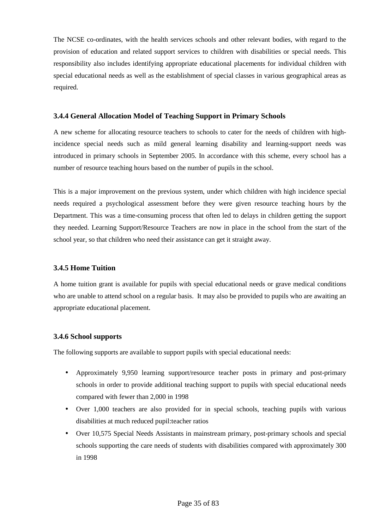The NCSE co-ordinates, with the health services schools and other relevant bodies, with regard to the provision of education and related support services to children with disabilities or special needs. This responsibility also includes identifying appropriate educational placements for individual children with special educational needs as well as the establishment of special classes in various geographical areas as required.

## **3.4.4 General Allocation Model of Teaching Support in Primary Schools**

A new scheme for allocating resource teachers to schools to cater for the needs of children with highincidence special needs such as mild general learning disability and learning-support needs was introduced in primary schools in September 2005. In accordance with this scheme, every school has a number of resource teaching hours based on the number of pupils in the school.

This is a major improvement on the previous system, under which children with high incidence special needs required a psychological assessment before they were given resource teaching hours by the Department. This was a time-consuming process that often led to delays in children getting the support they needed. Learning Support/Resource Teachers are now in place in the school from the start of the school year, so that children who need their assistance can get it straight away.

## **3.4.5 Home Tuition**

A home tuition grant is available for pupils with special educational needs or grave medical conditions who are unable to attend school on a regular basis. It may also be provided to pupils who are awaiting an appropriate educational placement.

## **3.4.6 School supports**

The following supports are available to support pupils with special educational needs:

- Approximately 9,950 learning support/resource teacher posts in primary and post-primary schools in order to provide additional teaching support to pupils with special educational needs compared with fewer than 2,000 in 1998
- Over 1,000 teachers are also provided for in special schools, teaching pupils with various disabilities at much reduced pupil:teacher ratios
- Over 10,575 Special Needs Assistants in mainstream primary, post-primary schools and special schools supporting the care needs of students with disabilities compared with approximately 300 in 1998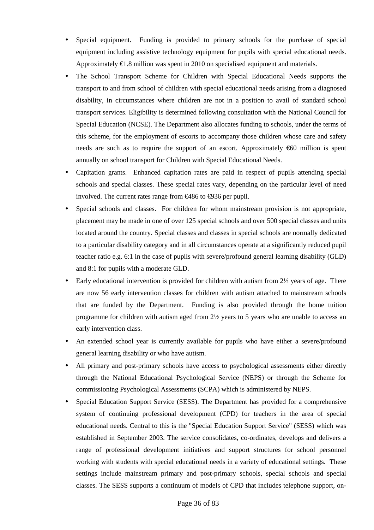- Special equipment. Funding is provided to primary schools for the purchase of special equipment including assistive technology equipment for pupils with special educational needs. Approximately  $\epsilon$ 1.8 million was spent in 2010 on specialised equipment and materials.
- The School Transport Scheme for Children with Special Educational Needs supports the transport to and from school of children with special educational needs arising from a diagnosed disability, in circumstances where children are not in a position to avail of standard school transport services. Eligibility is determined following consultation with the National Council for Special Education (NCSE). The Department also allocates funding to schools, under the terms of this scheme, for the employment of escorts to accompany those children whose care and safety needs are such as to require the support of an escort. Approximately  $\epsilon$ 60 million is spent annually on school transport for Children with Special Educational Needs.
- Capitation grants. Enhanced capitation rates are paid in respect of pupils attending special schools and special classes. These special rates vary, depending on the particular level of need involved. The current rates range from €486 to €936 per pupil.
- Special schools and classes. For children for whom mainstream provision is not appropriate, placement may be made in one of over 125 special schools and over 500 special classes and units located around the country. Special classes and classes in special schools are normally dedicated to a particular disability category and in all circumstances operate at a significantly reduced pupil teacher ratio e.g. 6:1 in the case of pupils with severe/profound general learning disability (GLD) and 8:1 for pupils with a moderate GLD.
- Early educational intervention is provided for children with autism from 2½ years of age. There are now 56 early intervention classes for children with autism attached to mainstream schools that are funded by the Department. Funding is also provided through the home tuition programme for children with autism aged from 2½ years to 5 years who are unable to access an early intervention class.
- An extended school year is currently available for pupils who have either a severe/profound general learning disability or who have autism.
- All primary and post-primary schools have access to psychological assessments either directly through the National Educational Psychological Service (NEPS) or through the Scheme for commissioning Psychological Assessments (SCPA) which is administered by NEPS.
- Special Education Support Service (SESS). The Department has provided for a comprehensive system of continuing professional development (CPD) for teachers in the area of special educational needs. Central to this is the "Special Education Support Service" (SESS) which was established in September 2003. The service consolidates, co-ordinates, develops and delivers a range of professional development initiatives and support structures for school personnel working with students with special educational needs in a variety of educational settings. These settings include mainstream primary and post-primary schools, special schools and special classes. The SESS supports a continuum of models of CPD that includes telephone support, on-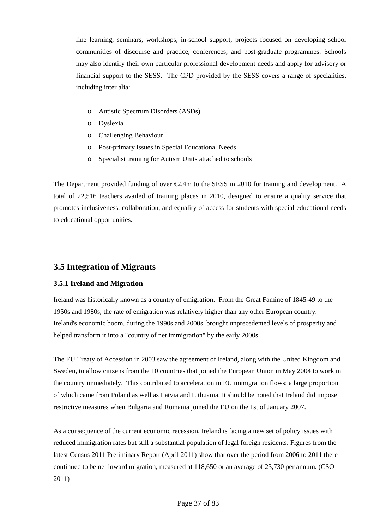line learning, seminars, workshops, in-school support, projects focused on developing school communities of discourse and practice, conferences, and post-graduate programmes. Schools may also identify their own particular professional development needs and apply for advisory or financial support to the SESS. The CPD provided by the SESS covers a range of specialities, including inter alia:

- o Autistic Spectrum Disorders (ASDs)
- o Dyslexia
- o Challenging Behaviour
- o Post-primary issues in Special Educational Needs
- o Specialist training for Autism Units attached to schools

The Department provided funding of over  $\epsilon$ 2.4m to the SESS in 2010 for training and development. A total of 22,516 teachers availed of training places in 2010, designed to ensure a quality service that promotes inclusiveness, collaboration, and equality of access for students with special educational needs to educational opportunities.

# **3.5 Integration of Migrants**

# **3.5.1 Ireland and Migration**

Ireland was historically known as a country of emigration. From the Great Famine of 1845-49 to the 1950s and 1980s, the rate of emigration was relatively higher than any other European country. Ireland's economic boom, during the 1990s and 2000s, brought unprecedented levels of prosperity and helped transform it into a "country of net immigration" by the early 2000s.

The EU Treaty of Accession in 2003 saw the agreement of Ireland, along with the United Kingdom and Sweden, to allow citizens from the 10 countries that joined the European Union in May 2004 to work in the country immediately. This contributed to acceleration in EU immigration flows; a large proportion of which came from Poland as well as Latvia and Lithuania. It should be noted that Ireland did impose restrictive measures when Bulgaria and Romania joined the EU on the 1st of January 2007.

As a consequence of the current economic recession, Ireland is facing a new set of policy issues with reduced immigration rates but still a substantial population of legal foreign residents. Figures from the latest Census 2011 Preliminary Report (April 2011) show that over the period from 2006 to 2011 there continued to be net inward migration, measured at 118,650 or an average of 23,730 per annum. (CSO 2011)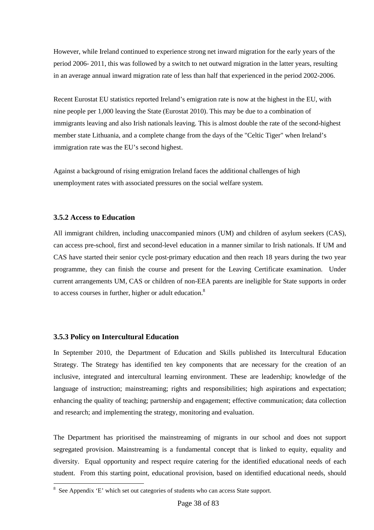However, while Ireland continued to experience strong net inward migration for the early years of the period 2006- 2011, this was followed by a switch to net outward migration in the latter years, resulting in an average annual inward migration rate of less than half that experienced in the period 2002-2006.

Recent Eurostat EU statistics reported Ireland's emigration rate is now at the highest in the EU, with nine people per 1,000 leaving the State (Eurostat 2010). This may be due to a combination of immigrants leaving and also Irish nationals leaving. This is almost double the rate of the second-highest member state Lithuania, and a complete change from the days of the "Celtic Tiger" when Ireland's immigration rate was the EU's second highest.

Against a background of rising emigration Ireland faces the additional challenges of high unemployment rates with associated pressures on the social welfare system.

#### **3.5.2 Access to Education**

All immigrant children, including unaccompanied minors (UM) and children of asylum seekers (CAS), can access pre-school, first and second-level education in a manner similar to Irish nationals. If UM and CAS have started their senior cycle post-primary education and then reach 18 years during the two year programme, they can finish the course and present for the Leaving Certificate examination. Under current arrangements UM, CAS or children of non-EEA parents are ineligible for State supports in order to access courses in further, higher or adult education. $8$ 

# **3.5.3 Policy on Intercultural Education**

 $\overline{a}$ 

In September 2010, the Department of Education and Skills published its Intercultural Education Strategy. The Strategy has identified ten key components that are necessary for the creation of an inclusive, integrated and intercultural learning environment. These are leadership; knowledge of the language of instruction; mainstreaming; rights and responsibilities; high aspirations and expectation; enhancing the quality of teaching; partnership and engagement; effective communication; data collection and research; and implementing the strategy, monitoring and evaluation.

The Department has prioritised the mainstreaming of migrants in our school and does not support segregated provision. Mainstreaming is a fundamental concept that is linked to equity, equality and diversity. Equal opportunity and respect require catering for the identified educational needs of each student. From this starting point, educational provision, based on identified educational needs, should

<sup>&</sup>lt;sup>8</sup> See Appendix 'E' which set out categories of students who can access State support.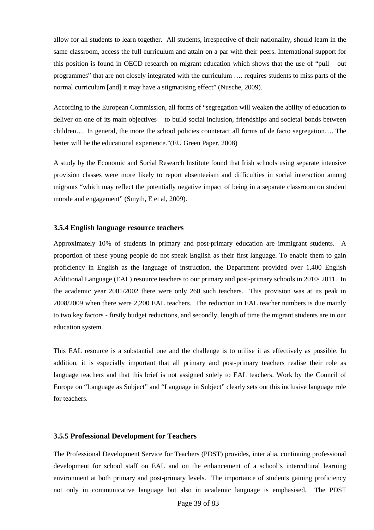allow for all students to learn together. All students, irrespective of their nationality, should learn in the same classroom, access the full curriculum and attain on a par with their peers. International support for this position is found in OECD research on migrant education which shows that the use of "pull – out programmes" that are not closely integrated with the curriculum …. requires students to miss parts of the normal curriculum [and] it may have a stigmatising effect" (Nusche, 2009).

According to the European Commission, all forms of "segregation will weaken the ability of education to deliver on one of its main objectives – to build social inclusion, friendships and societal bonds between children…. In general, the more the school policies counteract all forms of de facto segregation…. The better will be the educational experience."(EU Green Paper, 2008)

A study by the Economic and Social Research Institute found that Irish schools using separate intensive provision classes were more likely to report absenteeism and difficulties in social interaction among migrants "which may reflect the potentially negative impact of being in a separate classroom on student morale and engagement" (Smyth, E et al, 2009).

#### **3.5.4 English language resource teachers**

Approximately 10% of students in primary and post-primary education are immigrant students. A proportion of these young people do not speak English as their first language. To enable them to gain proficiency in English as the language of instruction, the Department provided over 1,400 English Additional Language (EAL) resource teachers to our primary and post-primary schools in 2010/ 2011. In the academic year 2001/2002 there were only 260 such teachers. This provision was at its peak in 2008/2009 when there were 2,200 EAL teachers. The reduction in EAL teacher numbers is due mainly to two key factors - firstly budget reductions, and secondly, length of time the migrant students are in our education system.

This EAL resource is a substantial one and the challenge is to utilise it as effectively as possible. In addition, it is especially important that all primary and post-primary teachers realise their role as language teachers and that this brief is not assigned solely to EAL teachers. Work by the Council of Europe on "Language as Subject" and "Language in Subject" clearly sets out this inclusive language role for teachers.

#### **3.5.5 Professional Development for Teachers**

The Professional Development Service for Teachers (PDST) provides, inter alia, continuing professional development for school staff on EAL and on the enhancement of a school's intercultural learning environment at both primary and post-primary levels. The importance of students gaining proficiency not only in communicative language but also in academic language is emphasised. The PDST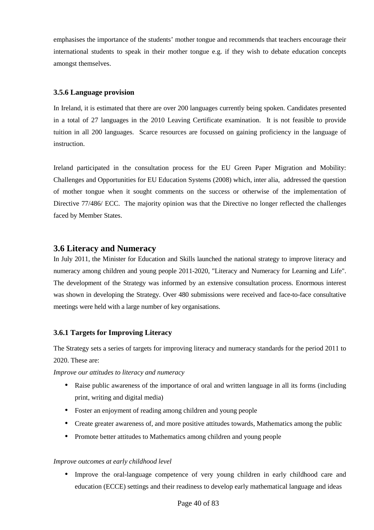emphasises the importance of the students' mother tongue and recommends that teachers encourage their international students to speak in their mother tongue e.g. if they wish to debate education concepts amongst themselves.

#### **3.5.6 Language provision**

In Ireland, it is estimated that there are over 200 languages currently being spoken. Candidates presented in a total of 27 languages in the 2010 Leaving Certificate examination. It is not feasible to provide tuition in all 200 languages. Scarce resources are focussed on gaining proficiency in the language of instruction.

Ireland participated in the consultation process for the EU Green Paper Migration and Mobility: Challenges and Opportunities for EU Education Systems (2008) which, inter alia, addressed the question of mother tongue when it sought comments on the success or otherwise of the implementation of Directive 77/486/ ECC. The majority opinion was that the Directive no longer reflected the challenges faced by Member States.

# **3.6 Literacy and Numeracy**

In July 2011, the Minister for Education and Skills launched the national strategy to improve literacy and numeracy among children and young people 2011-2020, "Literacy and Numeracy for Learning and Life". The development of the Strategy was informed by an extensive consultation process. Enormous interest was shown in developing the Strategy. Over 480 submissions were received and face-to-face consultative meetings were held with a large number of key organisations.

# **3.6.1 Targets for Improving Literacy**

The Strategy sets a series of targets for improving literacy and numeracy standards for the period 2011 to 2020. These are:

*Improve our attitudes to literacy and numeracy* 

- Raise public awareness of the importance of oral and written language in all its forms (including print, writing and digital media)
- Foster an enjoyment of reading among children and young people
- Create greater awareness of, and more positive attitudes towards, Mathematics among the public
- Promote better attitudes to Mathematics among children and young people

#### *Improve outcomes at early childhood level*

• Improve the oral-language competence of very young children in early childhood care and education (ECCE) settings and their readiness to develop early mathematical language and ideas

#### Page 40 of 83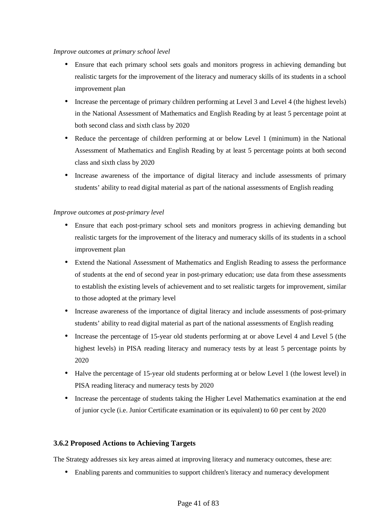#### *Improve outcomes at primary school level*

- Ensure that each primary school sets goals and monitors progress in achieving demanding but realistic targets for the improvement of the literacy and numeracy skills of its students in a school improvement plan
- Increase the percentage of primary children performing at Level 3 and Level 4 (the highest levels) in the National Assessment of Mathematics and English Reading by at least 5 percentage point at both second class and sixth class by 2020
- Reduce the percentage of children performing at or below Level 1 (minimum) in the National Assessment of Mathematics and English Reading by at least 5 percentage points at both second class and sixth class by 2020
- Increase awareness of the importance of digital literacy and include assessments of primary students' ability to read digital material as part of the national assessments of English reading

# *Improve outcomes at post-primary level*

- Ensure that each post-primary school sets and monitors progress in achieving demanding but realistic targets for the improvement of the literacy and numeracy skills of its students in a school improvement plan
- Extend the National Assessment of Mathematics and English Reading to assess the performance of students at the end of second year in post-primary education; use data from these assessments to establish the existing levels of achievement and to set realistic targets for improvement, similar to those adopted at the primary level
- Increase awareness of the importance of digital literacy and include assessments of post-primary students' ability to read digital material as part of the national assessments of English reading
- Increase the percentage of 15-year old students performing at or above Level 4 and Level 5 (the highest levels) in PISA reading literacy and numeracy tests by at least 5 percentage points by 2020
- Halve the percentage of 15-year old students performing at or below Level 1 (the lowest level) in PISA reading literacy and numeracy tests by 2020
- Increase the percentage of students taking the Higher Level Mathematics examination at the end of junior cycle (i.e. Junior Certificate examination or its equivalent) to 60 per cent by 2020

# **3.6.2 Proposed Actions to Achieving Targets**

The Strategy addresses six key areas aimed at improving literacy and numeracy outcomes, these are:

• Enabling parents and communities to support children's literacy and numeracy development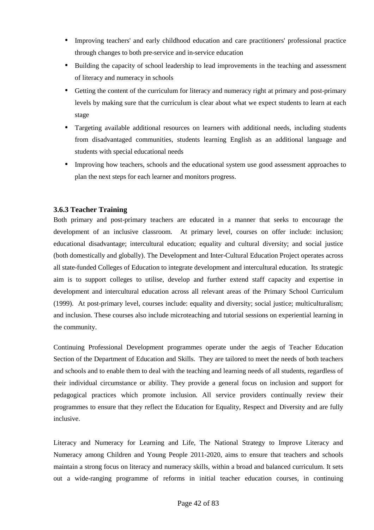- Improving teachers' and early childhood education and care practitioners' professional practice through changes to both pre-service and in-service education
- Building the capacity of school leadership to lead improvements in the teaching and assessment of literacy and numeracy in schools
- Getting the content of the curriculum for literacy and numeracy right at primary and post-primary levels by making sure that the curriculum is clear about what we expect students to learn at each stage
- Targeting available additional resources on learners with additional needs, including students from disadvantaged communities, students learning English as an additional language and students with special educational needs
- Improving how teachers, schools and the educational system use good assessment approaches to plan the next steps for each learner and monitors progress.

# **3.6.3 Teacher Training**

Both primary and post-primary teachers are educated in a manner that seeks to encourage the development of an inclusive classroom. At primary level, courses on offer include: inclusion; educational disadvantage; intercultural education; equality and cultural diversity; and social justice (both domestically and globally). The Development and Inter-Cultural Education Project operates across all state-funded Colleges of Education to integrate development and intercultural education. Its strategic aim is to support colleges to utilise, develop and further extend staff capacity and expertise in development and intercultural education across all relevant areas of the Primary School Curriculum (1999). At post-primary level, courses include: equality and diversity; social justice; multiculturalism; and inclusion. These courses also include microteaching and tutorial sessions on experiential learning in the community.

Continuing Professional Development programmes operate under the aegis of Teacher Education Section of the Department of Education and Skills. They are tailored to meet the needs of both teachers and schools and to enable them to deal with the teaching and learning needs of all students, regardless of their individual circumstance or ability. They provide a general focus on inclusion and support for pedagogical practices which promote inclusion. All service providers continually review their programmes to ensure that they reflect the Education for Equality, Respect and Diversity and are fully inclusive.

Literacy and Numeracy for Learning and Life, The National Strategy to Improve Literacy and Numeracy among Children and Young People 2011-2020, aims to ensure that teachers and schools maintain a strong focus on literacy and numeracy skills, within a broad and balanced curriculum. It sets out a wide-ranging programme of reforms in initial teacher education courses, in continuing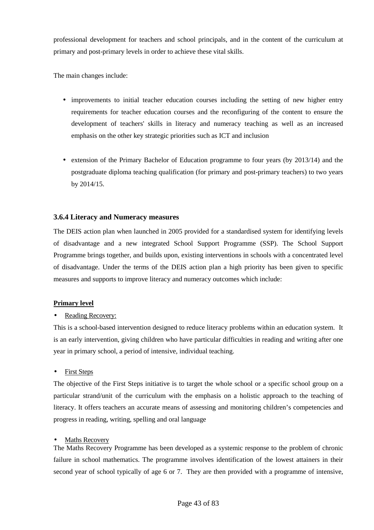professional development for teachers and school principals, and in the content of the curriculum at primary and post-primary levels in order to achieve these vital skills.

The main changes include:

- improvements to initial teacher education courses including the setting of new higher entry requirements for teacher education courses and the reconfiguring of the content to ensure the development of teachers' skills in literacy and numeracy teaching as well as an increased emphasis on the other key strategic priorities such as ICT and inclusion
- extension of the Primary Bachelor of Education programme to four years (by 2013/14) and the postgraduate diploma teaching qualification (for primary and post-primary teachers) to two years by 2014/15.

# **3.6.4 Literacy and Numeracy measures**

The DEIS action plan when launched in 2005 provided for a standardised system for identifying levels of disadvantage and a new integrated School Support Programme (SSP). The School Support Programme brings together, and builds upon, existing interventions in schools with a concentrated level of disadvantage. Under the terms of the DEIS action plan a high priority has been given to specific measures and supports to improve literacy and numeracy outcomes which include:

# **Primary level**

# Reading Recovery:

This is a school-based intervention designed to reduce literacy problems within an education system. It is an early intervention, giving children who have particular difficulties in reading and writing after one year in primary school, a period of intensive, individual teaching.

**First Steps** 

The objective of the First Steps initiative is to target the whole school or a specific school group on a particular strand/unit of the curriculum with the emphasis on a holistic approach to the teaching of literacy. It offers teachers an accurate means of assessing and monitoring children's competencies and progress in reading, writing, spelling and oral language

# **Maths Recovery**

The Maths Recovery Programme has been developed as a systemic response to the problem of chronic failure in school mathematics. The programme involves identification of the lowest attainers in their second year of school typically of age 6 or 7. They are then provided with a programme of intensive,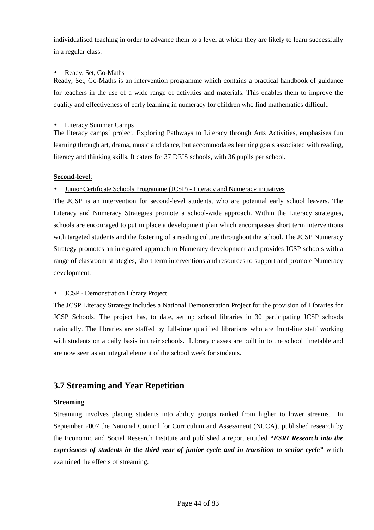individualised teaching in order to advance them to a level at which they are likely to learn successfully in a regular class.

### • Ready, Set, Go-Maths

Ready, Set, Go-Maths is an intervention programme which contains a practical handbook of guidance for teachers in the use of a wide range of activities and materials. This enables them to improve the quality and effectiveness of early learning in numeracy for children who find mathematics difficult.

### • Literacy Summer Camps

The literacy camps' project, Exploring Pathways to Literacy through Arts Activities, emphasises fun learning through art, drama, music and dance, but accommodates learning goals associated with reading, literacy and thinking skills. It caters for 37 DEIS schools, with 36 pupils per school.

# **Second-level**:

# • Junior Certificate Schools Programme (JCSP) - Literacy and Numeracy initiatives

The JCSP is an intervention for second-level students, who are potential early school leavers. The Literacy and Numeracy Strategies promote a school-wide approach. Within the Literacy strategies, schools are encouraged to put in place a development plan which encompasses short term interventions with targeted students and the fostering of a reading culture throughout the school. The JCSP Numeracy Strategy promotes an integrated approach to Numeracy development and provides JCSP schools with a range of classroom strategies, short term interventions and resources to support and promote Numeracy development.

# • JCSP - Demonstration Library Project

The JCSP Literacy Strategy includes a National Demonstration Project for the provision of Libraries for JCSP Schools. The project has, to date, set up school libraries in 30 participating JCSP schools nationally. The libraries are staffed by full-time qualified librarians who are front-line staff working with students on a daily basis in their schools. Library classes are built in to the school timetable and are now seen as an integral element of the school week for students.

# **3.7 Streaming and Year Repetition**

# **Streaming**

Streaming involves placing students into ability groups ranked from higher to lower streams. In September 2007 the National Council for Curriculum and Assessment (NCCA), published research by the Economic and Social Research Institute and published a report entitled *"ESRI Research into the experiences of students in the third year of junior cycle and in transition to senior cycle"* which examined the effects of streaming.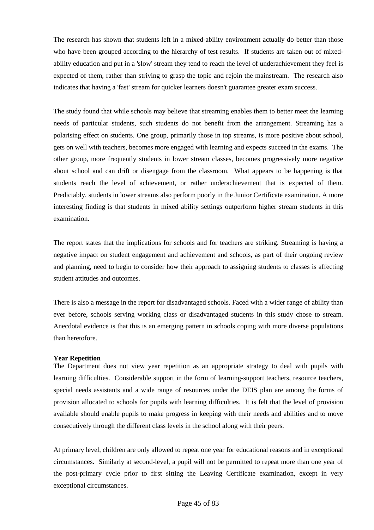The research has shown that students left in a mixed-ability environment actually do better than those who have been grouped according to the hierarchy of test results. If students are taken out of mixedability education and put in a 'slow' stream they tend to reach the level of underachievement they feel is expected of them, rather than striving to grasp the topic and rejoin the mainstream. The research also indicates that having a 'fast' stream for quicker learners doesn't guarantee greater exam success.

The study found that while schools may believe that streaming enables them to better meet the learning needs of particular students, such students do not benefit from the arrangement. Streaming has a polarising effect on students. One group, primarily those in top streams, is more positive about school, gets on well with teachers, becomes more engaged with learning and expects succeed in the exams. The other group, more frequently students in lower stream classes, becomes progressively more negative about school and can drift or disengage from the classroom. What appears to be happening is that students reach the level of achievement, or rather underachievement that is expected of them. Predictably, students in lower streams also perform poorly in the Junior Certificate examination. A more interesting finding is that students in mixed ability settings outperform higher stream students in this examination.

The report states that the implications for schools and for teachers are striking. Streaming is having a negative impact on student engagement and achievement and schools, as part of their ongoing review and planning, need to begin to consider how their approach to assigning students to classes is affecting student attitudes and outcomes.

There is also a message in the report for disadvantaged schools. Faced with a wider range of ability than ever before, schools serving working class or disadvantaged students in this study chose to stream. Anecdotal evidence is that this is an emerging pattern in schools coping with more diverse populations than heretofore.

#### **Year Repetition**

The Department does not view year repetition as an appropriate strategy to deal with pupils with learning difficulties. Considerable support in the form of learning-support teachers, resource teachers, special needs assistants and a wide range of resources under the DEIS plan are among the forms of provision allocated to schools for pupils with learning difficulties. It is felt that the level of provision available should enable pupils to make progress in keeping with their needs and abilities and to move consecutively through the different class levels in the school along with their peers.

At primary level, children are only allowed to repeat one year for educational reasons and in exceptional circumstances. Similarly at second-level, a pupil will not be permitted to repeat more than one year of the post-primary cycle prior to first sitting the Leaving Certificate examination, except in very exceptional circumstances.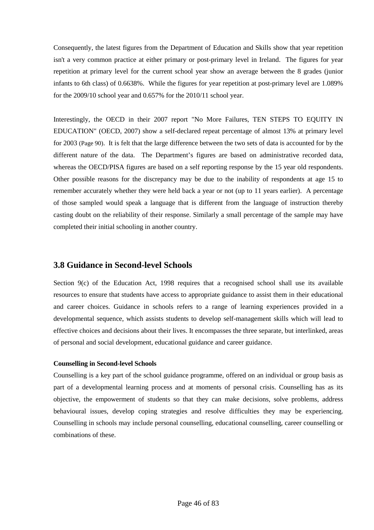Consequently, the latest figures from the Department of Education and Skills show that year repetition isn't a very common practice at either primary or post-primary level in Ireland. The figures for year repetition at primary level for the current school year show an average between the 8 grades (junior infants to 6th class) of 0.6638%. While the figures for year repetition at post-primary level are 1.089% for the 2009/10 school year and 0.657% for the 2010/11 school year.

Interestingly, the OECD in their 2007 report "No More Failures, TEN STEPS TO EQUITY IN EDUCATION" (OECD, 2007) show a self-declared repeat percentage of almost 13% at primary level for 2003 (Page 90). It is felt that the large difference between the two sets of data is accounted for by the different nature of the data. The Department's figures are based on administrative recorded data, whereas the OECD/PISA figures are based on a self reporting response by the 15 year old respondents. Other possible reasons for the discrepancy may be due to the inability of respondents at age 15 to remember accurately whether they were held back a year or not (up to 11 years earlier). A percentage of those sampled would speak a language that is different from the language of instruction thereby casting doubt on the reliability of their response. Similarly a small percentage of the sample may have completed their initial schooling in another country.

# **3.8 Guidance in Second-level Schools**

Section 9(c) of the Education Act, 1998 requires that a recognised school shall use its available resources to ensure that students have access to appropriate guidance to assist them in their educational and career choices. Guidance in schools refers to a range of learning experiences provided in a developmental sequence, which assists students to develop self-management skills which will lead to effective choices and decisions about their lives. It encompasses the three separate, but interlinked, areas of personal and social development, educational guidance and career guidance.

#### **Counselling in Second-level Schools**

Counselling is a key part of the school guidance programme, offered on an individual or group basis as part of a developmental learning process and at moments of personal crisis. Counselling has as its objective, the empowerment of students so that they can make decisions, solve problems, address behavioural issues, develop coping strategies and resolve difficulties they may be experiencing. Counselling in schools may include personal counselling, educational counselling, career counselling or combinations of these.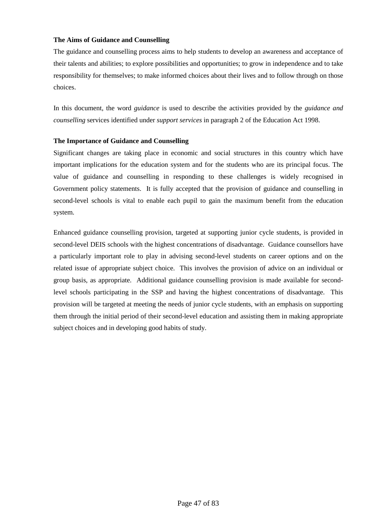#### **The Aims of Guidance and Counselling**

The guidance and counselling process aims to help students to develop an awareness and acceptance of their talents and abilities; to explore possibilities and opportunities; to grow in independence and to take responsibility for themselves; to make informed choices about their lives and to follow through on those choices.

In this document, the word *guidance* is used to describe the activities provided by the *guidance and counselling* services identified under *support services* in paragraph 2 of the Education Act 1998.

#### **The Importance of Guidance and Counselling**

Significant changes are taking place in economic and social structures in this country which have important implications for the education system and for the students who are its principal focus. The value of guidance and counselling in responding to these challenges is widely recognised in Government policy statements. It is fully accepted that the provision of guidance and counselling in second-level schools is vital to enable each pupil to gain the maximum benefit from the education system.

Enhanced guidance counselling provision, targeted at supporting junior cycle students, is provided in second-level DEIS schools with the highest concentrations of disadvantage. Guidance counsellors have a particularly important role to play in advising second-level students on career options and on the related issue of appropriate subject choice. This involves the provision of advice on an individual or group basis, as appropriate. Additional guidance counselling provision is made available for secondlevel schools participating in the SSP and having the highest concentrations of disadvantage. This provision will be targeted at meeting the needs of junior cycle students, with an emphasis on supporting them through the initial period of their second-level education and assisting them in making appropriate subject choices and in developing good habits of study.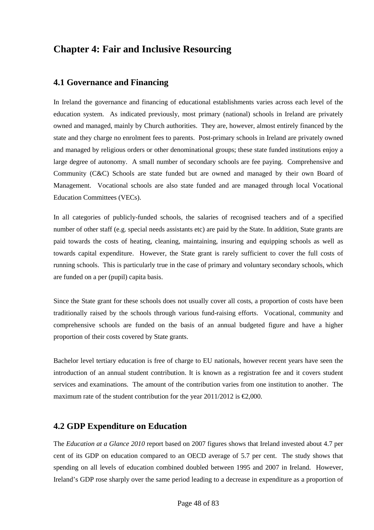# **Chapter 4: Fair and Inclusive Resourcing**

# **4.1 Governance and Financing**

In Ireland the governance and financing of educational establishments varies across each level of the education system. As indicated previously, most primary (national) schools in Ireland are privately owned and managed, mainly by Church authorities. They are, however, almost entirely financed by the state and they charge no enrolment fees to parents. Post-primary schools in Ireland are privately owned and managed by religious orders or other denominational groups; these state funded institutions enjoy a large degree of autonomy. A small number of secondary schools are fee paying. Comprehensive and Community (C&C) Schools are state funded but are owned and managed by their own Board of Management. Vocational schools are also state funded and are managed through local Vocational Education Committees (VECs).

In all categories of publicly-funded schools, the salaries of recognised teachers and of a specified number of other staff (e.g. special needs assistants etc) are paid by the State. In addition, State grants are paid towards the costs of heating, cleaning, maintaining, insuring and equipping schools as well as towards capital expenditure. However, the State grant is rarely sufficient to cover the full costs of running schools. This is particularly true in the case of primary and voluntary secondary schools, which are funded on a per (pupil) capita basis.

Since the State grant for these schools does not usually cover all costs, a proportion of costs have been traditionally raised by the schools through various fund-raising efforts. Vocational, community and comprehensive schools are funded on the basis of an annual budgeted figure and have a higher proportion of their costs covered by State grants.

Bachelor level tertiary education is free of charge to EU nationals, however recent years have seen the introduction of an annual student contribution. It is known as a registration fee and it covers student services and examinations. The amount of the contribution varies from one institution to another. The maximum rate of the student contribution for the year 2011/2012 is  $\epsilon$ 2,000.

# **4.2 GDP Expenditure on Education**

The *Education at a Glance 2010* report based on 2007 figures shows that Ireland invested about 4.7 per cent of its GDP on education compared to an OECD average of 5.7 per cent. The study shows that spending on all levels of education combined doubled between 1995 and 2007 in Ireland. However, Ireland's GDP rose sharply over the same period leading to a decrease in expenditure as a proportion of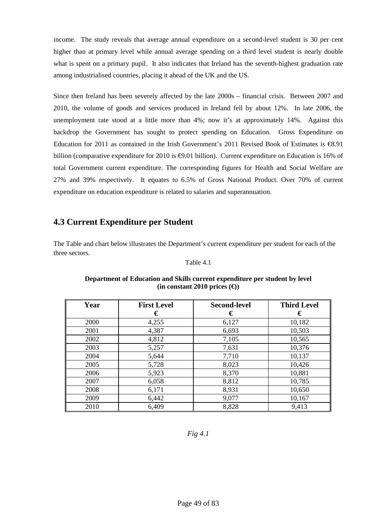income. The study reveals that average annual expenditure on a second-level student is 30 per cent higher than at primary level while annual average spending on a third level student is nearly double what is spent on a primary pupil. It also indicates that Ireland has the seventh-highest graduation rate among industrialised countries, placing it ahead of the UK and the US.

Since then Ireland has been severely affected by the late 2000s – financial crisis. Between 2007 and 2010, the volume of goods and services produced in Ireland fell by about 12%. In late 2006, the unemployment rate stood at a little more than 4%; now it's at approximately 14%. Against this backdrop the Government has sought to protect spending on Education. Gross Expenditure on Education for 2011 as contained in the Irish Government's 2011 Revised Book of Estimates is  $\epsilon$ 8.91 billion (comparative expenditure for 2010 is €9.01 billion). Current expenditure on Education is 16% of total Government current expenditure. The corresponding figures for Health and Social Welfare are 27% and 39% respectively. It equates to 6.5% of Gross National Product. Over 70% of current expenditure on education expenditure is related to salaries and superannuation.

# **4.3 Current Expenditure per Student**

The Table and chart below illustrates the Department's current expenditure per student for each of the three sectors.

#### Table 4.1

| Year | <b>First Level</b> | <b>Second-level</b> | <b>Third Level</b> |
|------|--------------------|---------------------|--------------------|
|      | €                  | €                   | €                  |
| 2000 | 4,255              | 6,127               | 10,182             |
| 2001 | 4,387              | 6,693               | 10,503             |
| 2002 | 4,812              | 7,105               | 10,565             |
| 2003 | 5,257              | 7,631               | 10,376             |
| 2004 | 5,644              | 7,710               | 10,137             |
| 2005 | 5,728              | 8,023               | 10,426             |
| 2006 | 5,923              | 8,370               | 10,881             |
| 2007 | 6,058              | 8,812               | 10,785             |
| 2008 | 6,171              | 8,931               | 10,650             |
| 2009 | 6,442              | 9,077               | 10,167             |
| 2010 | 6,409              | 8,828               | 9,413              |

#### **Department of Education and Skills current expenditure per student by level**   $(in constant 2010 prices (€))$

*Fig 4.1*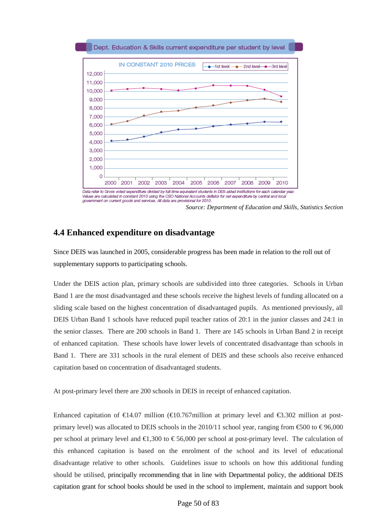

Values are calculated in constant 2010 using the CSO National Accounts deflator for net expenditure by central and local government on current goods and services. All data are provisional for 2010.

*Source: Department of Education and Skills, Statistics Section* 

# **4.4 Enhanced expenditure on disadvantage**

Since DEIS was launched in 2005, considerable progress has been made in relation to the roll out of supplementary supports to participating schools.

Under the DEIS action plan, primary schools are subdivided into three categories. Schools in Urban Band 1 are the most disadvantaged and these schools receive the highest levels of funding allocated on a sliding scale based on the highest concentration of disadvantaged pupils. As mentioned previously, all DEIS Urban Band 1 schools have reduced pupil teacher ratios of 20:1 in the junior classes and 24:1 in the senior classes. There are 200 schools in Band 1. There are 145 schools in Urban Band 2 in receipt of enhanced capitation. These schools have lower levels of concentrated disadvantage than schools in Band 1. There are 331 schools in the rural element of DEIS and these schools also receive enhanced capitation based on concentration of disadvantaged students.

At post-primary level there are 200 schools in DEIS in receipt of enhanced capitation.

Enhanced capitation of  $\epsilon$ 14.07 million ( $\epsilon$ 10.767million at primary level and  $\epsilon$ 3.302 million at postprimary level) was allocated to DEIS schools in the 2010/11 school year, ranging from  $\epsilon$ 500 to  $\epsilon$  96,000 per school at primary level and  $\epsilon$ 1,300 to  $\epsilon$  56,000 per school at post-primary level. The calculation of this enhanced capitation is based on the enrolment of the school and its level of educational disadvantage relative to other schools. Guidelines issue to schools on how this additional funding should be utilised, principally recommending that in line with Departmental policy, the additional DEIS capitation grant for school books should be used in the school to implement, maintain and support book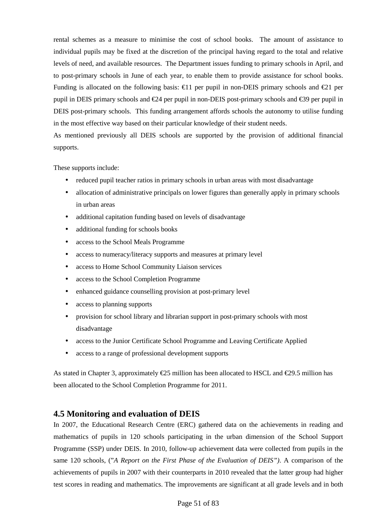rental schemes as a measure to minimise the cost of school books. The amount of assistance to individual pupils may be fixed at the discretion of the principal having regard to the total and relative levels of need, and available resources. The Department issues funding to primary schools in April, and to post-primary schools in June of each year, to enable them to provide assistance for school books. Funding is allocated on the following basis:  $\epsilon$ 11 per pupil in non-DEIS primary schools and  $\epsilon$ 21 per pupil in DEIS primary schools and  $\epsilon$ 24 per pupil innon-DEIS post-primary schools and  $\epsilon$ 39 per pupil in DEIS post-primary schools. This funding arrangement affords schools the autonomy to utilise funding in the most effective way based on their particular knowledge of their student needs.

As mentioned previously all DEIS schools are supported by the provision of additional financial supports.

These supports include:

- reduced pupil teacher ratios in primary schools in urban areas with most disadvantage
- allocation of administrative principals on lower figures than generally apply in primary schools in urban areas
- additional capitation funding based on levels of disadvantage
- additional funding for schools books
- access to the School Meals Programme
- access to numeracy/literacy supports and measures at primary level
- access to Home School Community Liaison services
- access to the School Completion Programme
- enhanced guidance counselling provision at post-primary level
- access to planning supports
- provision for school library and librarian support in post-primary schools with most disadvantage
- access to the Junior Certificate School Programme and Leaving Certificate Applied
- access to a range of professional development supports

As stated in Chapter 3, approximately  $\epsilon$ 25 million has been allocated to HSCL and  $\epsilon$ 29.5 million has been allocated to the School Completion Programme for 2011.

# **4.5 Monitoring and evaluation of DEIS**

In 2007, the Educational Research Centre (ERC) gathered data on the achievements in reading and mathematics of pupils in 120 schools participating in the urban dimension of the School Support Programme (SSP) under DEIS. In 2010, follow-up achievement data were collected from pupils in the same 120 schools, ("*A Report on the First Phase of the Evaluation of DEIS")*. A comparison of the achievements of pupils in 2007 with their counterparts in 2010 revealed that the latter group had higher test scores in reading and mathematics. The improvements are significant at all grade levels and in both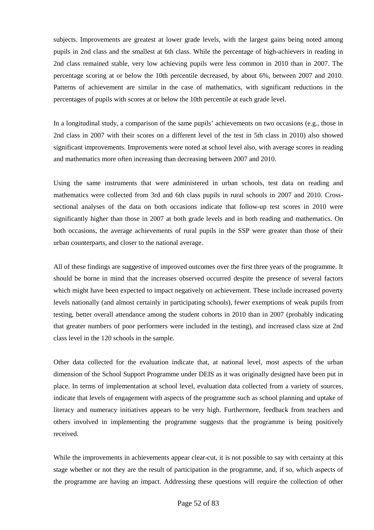subjects. Improvements are greatest at lower grade levels, with the largest gains being noted among pupils in 2nd class and the smallest at 6th class. While the percentage of high-achievers in reading in 2nd class remained stable, very low achieving pupils were less common in 2010 than in 2007. The percentage scoring at or below the 10th percentile decreased, by about 6%, between 2007 and 2010. Patterns of achievement are similar in the case of mathematics, with significant reductions in the percentages of pupils with scores at or below the 10th percentile at each grade level.

In a longitudinal study, a comparison of the same pupils' achievements on two occasions (e.g., those in 2nd class in 2007 with their scores on a different level of the test in 5th class in 2010) also showed significant improvements. Improvements were noted at school level also, with average scores in reading and mathematics more often increasing than decreasing between 2007 and 2010.

Using the same instruments that were administered in urban schools, test data on reading and mathematics were collected from 3rd and 6th class pupils in rural schools in 2007 and 2010. Crosssectional analyses of the data on both occasions indicate that follow-up test scores in 2010 were significantly higher than those in 2007 at both grade levels and in both reading and mathematics. On both occasions, the average achievements of rural pupils in the SSP were greater than those of their urban counterparts, and closer to the national average.

All of these findings are suggestive of improved outcomes over the first three years of the programme. It should be borne in mind that the increases observed occurred despite the presence of several factors which might have been expected to impact negatively on achievement. These include increased poverty levels nationally (and almost certainly in participating schools), fewer exemptions of weak pupils from testing, better overall attendance among the student cohorts in 2010 than in 2007 (probably indicating that greater numbers of poor performers were included in the testing), and increased class size at 2nd class level in the 120 schools in the sample.

Other data collected for the evaluation indicate that, at national level, most aspects of the urban dimension of the School Support Programme under DEIS as it was originally designed have been put in place. In terms of implementation at school level, evaluation data collected from a variety of sources, indicate that levels of engagement with aspects of the programme such as school planning and uptake of literacy and numeracy initiatives appears to be very high. Furthermore, feedback from teachers and others involved in implementing the programme suggests that the programme is being positively received.

While the improvements in achievements appear clear-cut, it is not possible to say with certainty at this stage whether or not they are the result of participation in the programme, and, if so, which aspects of the programme are having an impact. Addressing these questions will require the collection of other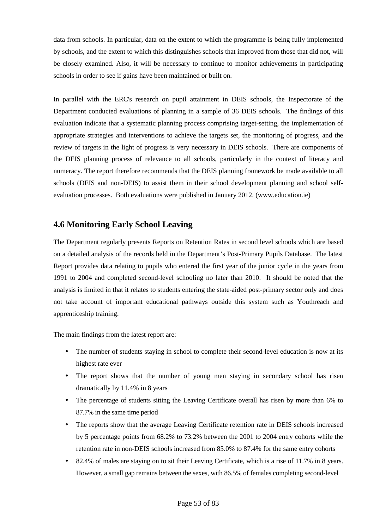data from schools. In particular, data on the extent to which the programme is being fully implemented by schools, and the extent to which this distinguishes schools that improved from those that did not, will be closely examined. Also, it will be necessary to continue to monitor achievements in participating schools in order to see if gains have been maintained or built on.

In parallel with the ERC's research on pupil attainment in DEIS schools, the Inspectorate of the Department conducted evaluations of planning in a sample of 36 DEIS schools. The findings of this evaluation indicate that a systematic planning process comprising target-setting, the implementation of appropriate strategies and interventions to achieve the targets set, the monitoring of progress, and the review of targets in the light of progress is very necessary in DEIS schools. There are components of the DEIS planning process of relevance to all schools, particularly in the context of literacy and numeracy. The report therefore recommends that the DEIS planning framework be made available to all schools (DEIS and non-DEIS) to assist them in their school development planning and school selfevaluation processes. Both evaluations were published in January 2012. (www.education.ie)

# **4.6 Monitoring Early School Leaving**

The Department regularly presents Reports on Retention Rates in second level schools which are based on a detailed analysis of the records held in the Department's Post-Primary Pupils Database. The latest Report provides data relating to pupils who entered the first year of the junior cycle in the years from 1991 to 2004 and completed second-level schooling no later than 2010. It should be noted that the analysis is limited in that it relates to students entering the state-aided post-primary sector only and does not take account of important educational pathways outside this system such as Youthreach and apprenticeship training.

The main findings from the latest report are:

- The number of students staying in school to complete their second-level education is now at its highest rate ever
- The report shows that the number of young men staying in secondary school has risen dramatically by 11.4% in 8 years
- The percentage of students sitting the Leaving Certificate overall has risen by more than 6% to 87.7% in the same time period
- The reports show that the average Leaving Certificate retention rate in DEIS schools increased by 5 percentage points from 68.2% to 73.2% between the 2001 to 2004 entry cohorts while the retention rate in non-DEIS schools increased from 85.0% to 87.4% for the same entry cohorts
- 82.4% of males are staying on to sit their Leaving Certificate, which is a rise of 11.7% in 8 years. However, a small gap remains between the sexes, with 86.5% of females completing second-level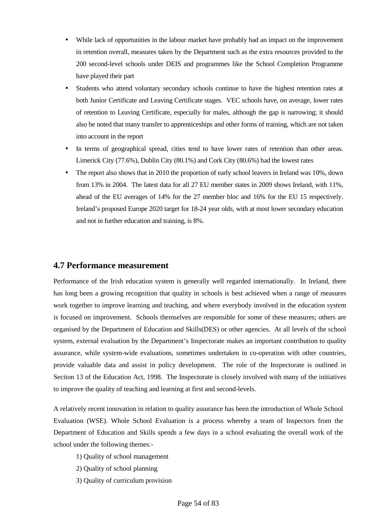- While lack of opportunities in the labour market have probably had an impact on the improvement in retention overall, measures taken by the Department such as the extra resources provided to the 200 second-level schools under DEIS and programmes like the School Completion Programme have played their part
- Students who attend voluntary secondary schools continue to have the highest retention rates at both Junior Certificate and Leaving Certificate stages. VEC schools have, on average, lower rates of retention to Leaving Certificate, especially for males, although the gap is narrowing; it should also be noted that many transfer to apprenticeships and other forms of training, which are not taken into account in the report
- In terms of geographical spread, cities tend to have lower rates of retention than other areas. Limerick City (77.6%), Dublin City (80.1%) and Cork City (80.6%) had the lowest rates
- The report also shows that in 2010 the proportion of early school leavers in Ireland was 10%, down from 13% in 2004. The latest data for all 27 EU member states in 2009 shows Ireland, with 11%, ahead of the EU averages of 14% for the 27 member bloc and 16% for the EU 15 respectively. Ireland's proposed Europe 2020 target for 18-24 year olds, with at most lower secondary education and not in further education and training, is 8%.

# **4.7 Performance measurement**

Performance of the Irish education system is generally well regarded internationally. In Ireland, there has long been a growing recognition that quality in schools is best achieved when a range of measures work together to improve learning and teaching, and where everybody involved in the education system is focused on improvement. Schools themselves are responsible for some of these measures; others are organised by the Department of Education and Skills(DES) or other agencies. At all levels of the school system, external evaluation by the Department's Inspectorate makes an important contribution to quality assurance, while system-wide evaluations, sometimes undertaken in co-operation with other countries, provide valuable data and assist in policy development. The role of the Inspectorate is outlined in Section 13 of the Education Act, 1998. The Inspectorate is closely involved with many of the initiatives to improve the quality of teaching and learning at first and second-levels.

A relatively recent innovation in relation to quality assurance has been the introduction of Whole School Evaluation (WSE). Whole School Evaluation is a process whereby a team of Inspectors from the Department of Education and Skills spends a few days in a school evaluating the overall work of the school under the following themes:-

- 1) Quality of school management
- 2) Quality of school planning
- 3) Quality of curriculum provision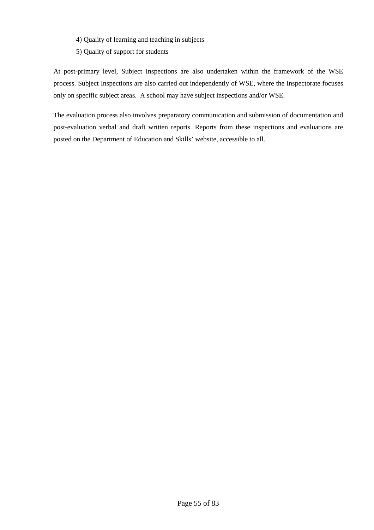- 4) Quality of learning and teaching in subjects
- 5) Quality of support for students

At post-primary level, Subject Inspections are also undertaken within the framework of the WSE process. Subject Inspections are also carried out independently of WSE, where the Inspectorate focuses only on specific subject areas. A school may have subject inspections and/or WSE.

The evaluation process also involves preparatory communication and submission of documentation and post-evaluation verbal and draft written reports. Reports from these inspections and evaluations are posted on the Department of Education and Skills' website, accessible to all.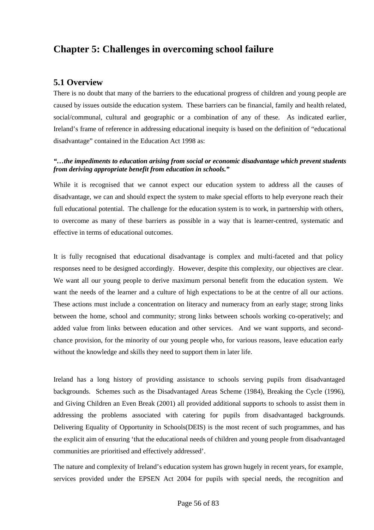# **Chapter 5: Challenges in overcoming school failure**

# **5.1 Overview**

There is no doubt that many of the barriers to the educational progress of children and young people are caused by issues outside the education system. These barriers can be financial, family and health related, social/communal, cultural and geographic or a combination of any of these. As indicated earlier, Ireland's frame of reference in addressing educational inequity is based on the definition of "educational disadvantage" contained in the Education Act 1998 as:

### *"…the impediments to education arising from social or economic disadvantage which prevent students from deriving appropriate benefit from education in schools."*

While it is recognised that we cannot expect our education system to address all the causes of disadvantage, we can and should expect the system to make special efforts to help everyone reach their full educational potential. The challenge for the education system is to work, in partnership with others, to overcome as many of these barriers as possible in a way that is learner-centred, systematic and effective in terms of educational outcomes.

It is fully recognised that educational disadvantage is complex and multi-faceted and that policy responses need to be designed accordingly. However, despite this complexity, our objectives are clear. We want all our young people to derive maximum personal benefit from the education system. We want the needs of the learner and a culture of high expectations to be at the centre of all our actions. These actions must include a concentration on literacy and numeracy from an early stage; strong links between the home, school and community; strong links between schools working co-operatively; and added value from links between education and other services. And we want supports, and secondchance provision, for the minority of our young people who, for various reasons, leave education early without the knowledge and skills they need to support them in later life.

Ireland has a long history of providing assistance to schools serving pupils from disadvantaged backgrounds. Schemes such as the Disadvantaged Areas Scheme (1984), Breaking the Cycle (1996), and Giving Children an Even Break (2001) all provided additional supports to schools to assist them in addressing the problems associated with catering for pupils from disadvantaged backgrounds. Delivering Equality of Opportunity in Schools(DEIS) is the most recent of such programmes, and has the explicit aim of ensuring 'that the educational needs of children and young people from disadvantaged communities are prioritised and effectively addressed'.

The nature and complexity of Ireland's education system has grown hugely in recent years, for example, services provided under the EPSEN Act 2004 for pupils with special needs, the recognition and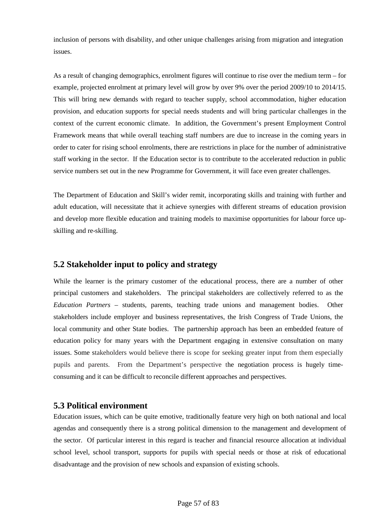inclusion of persons with disability, and other unique challenges arising from migration and integration issues.

As a result of changing demographics, enrolment figures will continue to rise over the medium term – for example, projected enrolment at primary level will grow by over 9% over the period 2009/10 to 2014/15. This will bring new demands with regard to teacher supply, school accommodation, higher education provision, and education supports for special needs students and will bring particular challenges in the context of the current economic climate. In addition, the Government's present Employment Control Framework means that while overall teaching staff numbers are due to increase in the coming years in order to cater for rising school enrolments, there are restrictions in place for the number of administrative staff working in the sector. If the Education sector is to contribute to the accelerated reduction in public service numbers set out in the new Programme for Government, it will face even greater challenges.

The Department of Education and Skill's wider remit, incorporating skills and training with further and adult education, will necessitate that it achieve synergies with different streams of education provision and develop more flexible education and training models to maximise opportunities for labour force upskilling and re-skilling.

# **5.2 Stakeholder input to policy and strategy**

While the learner is the primary customer of the educational process, there are a number of other principal customers and stakeholders. The principal stakeholders are collectively referred to as the *Education Partners* – students, parents, teaching trade unions and management bodies. Other stakeholders include employer and business representatives, the Irish Congress of Trade Unions, the local community and other State bodies. The partnership approach has been an embedded feature of education policy for many years with the Department engaging in extensive consultation on many issues. Some stakeholders would believe there is scope for seeking greater input from them especially pupils and parents. From the Department's perspective the negotiation process is hugely timeconsuming and it can be difficult to reconcile different approaches and perspectives.

# **5.3 Political environment**

Education issues, which can be quite emotive, traditionally feature very high on both national and local agendas and consequently there is a strong political dimension to the management and development of the sector. Of particular interest in this regard is teacher and financial resource allocation at individual school level, school transport, supports for pupils with special needs or those at risk of educational disadvantage and the provision of new schools and expansion of existing schools.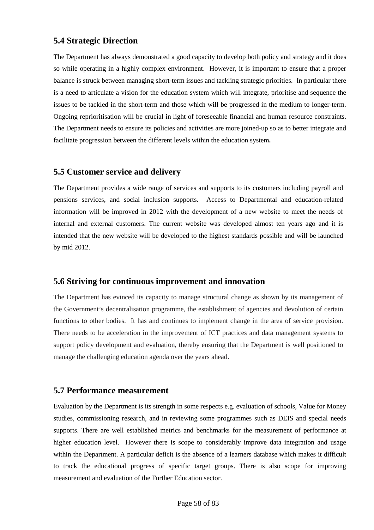# **5.4 Strategic Direction**

The Department has always demonstrated a good capacity to develop both policy and strategy and it does so while operating in a highly complex environment. However, it is important to ensure that a proper balance is struck between managing short-term issues and tackling strategic priorities. In particular there is a need to articulate a vision for the education system which will integrate, prioritise and sequence the issues to be tackled in the short-term and those which will be progressed in the medium to longer-term. Ongoing reprioritisation will be crucial in light of foreseeable financial and human resource constraints. The Department needs to ensure its policies and activities are more joined-up so as to better integrate and facilitate progression between the different levels within the education system**.**

# **5.5 Customer service and delivery**

The Department provides a wide range of services and supports to its customers including payroll and pensions services, and social inclusion supports. Access to Departmental and education-related information will be improved in 2012 with the development of a new website to meet the needs of internal and external customers. The current website was developed almost ten years ago and it is intended that the new website will be developed to the highest standards possible and will be launched by mid 2012.

# **5.6 Striving for continuous improvement and innovation**

The Department has evinced its capacity to manage structural change as shown by its management of the Government's decentralisation programme, the establishment of agencies and devolution of certain functions to other bodies. It has and continues to implement change in the area of service provision. There needs to be acceleration in the improvement of ICT practices and data management systems to support policy development and evaluation, thereby ensuring that the Department is well positioned to manage the challenging education agenda over the years ahead.

# **5.7 Performance measurement**

Evaluation by the Department is its strength in some respects e.g. evaluation of schools, Value for Money studies, commissioning research, and in reviewing some programmes such as DEIS and special needs supports. There are well established metrics and benchmarks for the measurement of performance at higher education level. However there is scope to considerably improve data integration and usage within the Department. A particular deficit is the absence of a learners database which makes it difficult to track the educational progress of specific target groups. There is also scope for improving measurement and evaluation of the Further Education sector.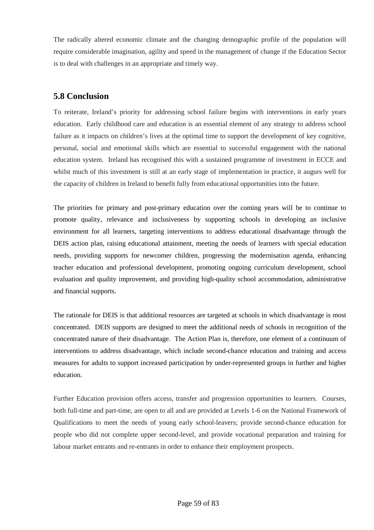The radically altered economic climate and the changing demographic profile of the population will require considerable imagination, agility and speed in the management of change if the Education Sector is to deal with challenges in an appropriate and timely way.

# **5.8 Conclusion**

To reiterate, Ireland's priority for addressing school failure begins with interventions in early years education. Early childhood care and education is an essential element of any strategy to address school failure as it impacts on children's lives at the optimal time to support the development of key cognitive, personal, social and emotional skills which are essential to successful engagement with the national education system. Ireland has recognised this with a sustained programme of investment in ECCE and whilst much of this investment is still at an early stage of implementation in practice, it augurs well for the capacity of children in Ireland to benefit fully from educational opportunities into the future.

The priorities for primary and post-primary education over the coming years will be to continue to promote quality, relevance and inclusiveness by supporting schools in developing an inclusive environment for all learners, targeting interventions to address educational disadvantage through the DEIS action plan, raising educational attainment, meeting the needs of learners with special education needs, providing supports for newcomer children, progressing the modernisation agenda, enhancing teacher education and professional development, promoting ongoing curriculum development, school evaluation and quality improvement, and providing high-quality school accommodation, administrative and financial supports.

The rationale for DEIS is that additional resources are targeted at schools in which disadvantage is most concentrated. DEIS supports are designed to meet the additional needs of schools in recognition of the concentrated nature of their disadvantage. The Action Plan is, therefore, one element of a continuum of interventions to address disadvantage, which include second-chance education and training and access measures for adults to support increased participation by under-represented groups in further and higher education.

Further Education provision offers access, transfer and progression opportunities to learners. Courses, both full-time and part-time, are open to all and are provided at Levels 1-6 on the National Framework of Qualifications to meet the needs of young early school-leavers; provide second-chance education for people who did not complete upper second-level, and provide vocational preparation and training for labour market entrants and re-entrants in order to enhance their employment prospects.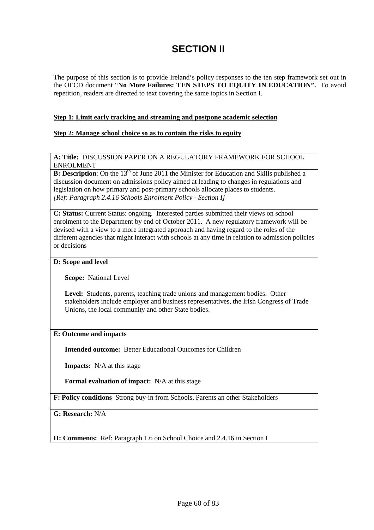# **SECTION II**

The purpose of this section is to provide Ireland's policy responses to the ten step framework set out in the OECD document "**No More Failures: TEN STEPS TO EQUITY IN EDUCATION".** To avoid repetition, readers are directed to text covering the same topics in Section I.

#### **Step 1: Limit early tracking and streaming and postpone academic selection**

#### **Step 2: Manage school choice so as to contain the risks to equity**

**A: Title:** DISCUSSION PAPER ON A REGULATORY FRAMEWORK FOR SCHOOL ENROLMENT

**B: Description**: On the 13<sup>th</sup> of June 2011 the Minister for Education and Skills published a discussion document on admissions policy aimed at leading to changes in regulations and legislation on how primary and post-primary schools allocate places to students. *[Ref: Paragraph 2.4.16 Schools Enrolment Policy - Section I]* 

**C: Status:** Current Status: ongoing. Interested parties submitted their views on school enrolment to the Department by end of October 2011. A new regulatory framework will be devised with a view to a more integrated approach and having regard to the roles of the different agencies that might interact with schools at any time in relation to admission policies or decisions

#### **D: Scope and level**

**Scope:** National Level

**Level:** Students, parents, teaching trade unions and management bodies. Other stakeholders include employer and business representatives, the Irish Congress of Trade Unions, the local community and other State bodies.

#### **E: Outcome and impacts**

**Intended outcome:** Better Educational Outcomes for Children

**Impacts:** N/A at this stage

**Formal evaluation of impact:** N/A at this stage

**F: Policy conditions** Strong buy-in from Schools, Parents an other Stakeholders

**G: Research:** N/A

**H: Comments:** Ref: Paragraph 1.6 on School Choice and 2.4.16 in Section I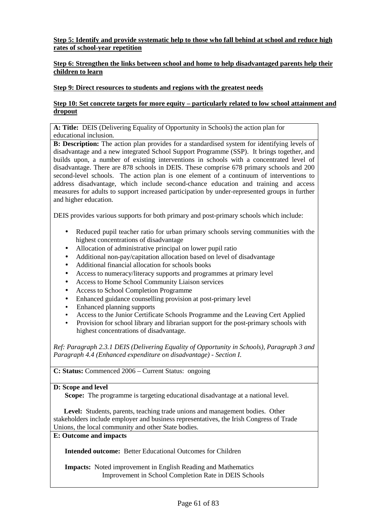### **Step 5: Identify and provide systematic help to those who fall behind at school and reduce high rates of school-year repetition**

### **Step 6: Strengthen the links between school and home to help disadvantaged parents help their children to learn**

#### **Step 9: Direct resources to students and regions with the greatest needs**

#### **Step 10: Set concrete targets for more equity – particularly related to low school attainment and dropout**

**A: Title:** DEIS (Delivering Equality of Opportunity in Schools) the action plan for educational inclusion.

**B: Description:** The action plan provides for a standardised system for identifying levels of disadvantage and a new integrated School Support Programme (SSP). It brings together, and builds upon, a number of existing interventions in schools with a concentrated level of disadvantage. There are 878 schools in DEIS. These comprise 678 primary schools and 200 second-level schools. The action plan is one element of a continuum of interventions to address disadvantage, which include second-chance education and training and access measures for adults to support increased participation by under-represented groups in further and higher education.

DEIS provides various supports for both primary and post-primary schools which include:

- Reduced pupil teacher ratio for urban primary schools serving communities with the highest concentrations of disadvantage
- Allocation of administrative principal on lower pupil ratio
- Additional non-pay/capitation allocation based on level of disadvantage
- Additional financial allocation for schools books
- Access to numeracy/literacy supports and programmes at primary level
- Access to Home School Community Liaison services
- Access to School Completion Programme
- Enhanced guidance counselling provision at post-primary level
- Enhanced planning supports
- Access to the Junior Certificate Schools Programme and the Leaving Cert Applied
- Provision for school library and librarian support for the post-primary schools with highest concentrations of disadvantage.

*Ref: Paragraph 2.3.1 DEIS (Delivering Equality of Opportunity in Schools), Paragraph 3 and Paragraph 4.4 (Enhanced expenditure on disadvantage) - Section I.*

**C: Status:** Commenced 2006 – Current Status: ongoing

#### **D: Scope and level**

**Scope:** The programme is targeting educational disadvantage at a national level.

 **Level:** Students, parents, teaching trade unions and management bodies. Other stakeholders include employer and business representatives, the Irish Congress of Trade Unions, the local community and other State bodies.

# **E: Outcome and impacts**

**Intended outcome:** Better Educational Outcomes for Children

**Impacts:** Noted improvement in English Reading and Mathematics Improvement in School Completion Rate in DEIS Schools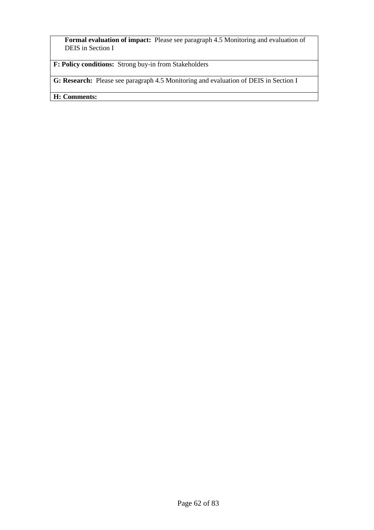**Formal evaluation of impact:** Please see paragraph 4.5 Monitoring and evaluation of DEIS in Section I

**F: Policy conditions:** Strong buy-in from Stakeholders

**G: Research:** Please see paragraph 4.5 Monitoring and evaluation of DEIS in Section I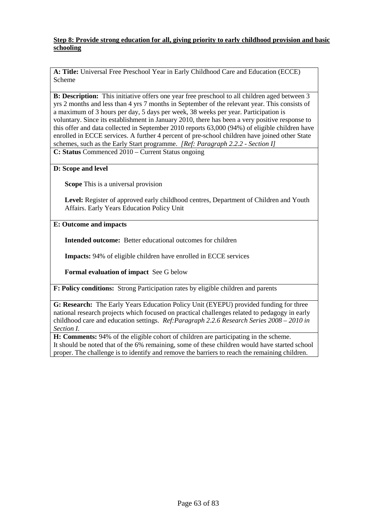#### **Step 8: Provide strong education for all, giving priority to early childhood provision and basic schooling**

**A: Title:** Universal Free Preschool Year in Early Childhood Care and Education (ECCE) Scheme

**B: Description:** This initiative offers one year free preschool to all children aged between 3 yrs 2 months and less than 4 yrs 7 months in September of the relevant year. This consists of a maximum of 3 hours per day, 5 days per week, 38 weeks per year. Participation is voluntary. Since its establishment in January 2010, there has been a very positive response to this offer and data collected in September 2010 reports 63,000 (94%) of eligible children have enrolled in ECCE services. A further 4 percent of pre-school children have joined other State schemes, such as the Early Start programme. *[Ref: Paragraph 2.2.2 - Section I]* **C: Status** Commenced 2010 – Current Status ongoing

#### **D: Scope and level**

**Scope** This is a universal provision

**Level:** Register of approved early childhood centres, Department of Children and Youth Affairs. Early Years Education Policy Unit

#### **E: Outcome and impacts**

**Intended outcome:** Better educational outcomes for children

**Impacts:** 94% of eligible children have enrolled in ECCE services

**Formal evaluation of impact** See G below

**F: Policy conditions:** Strong Participation rates by eligible children and parents

**G: Research:** The Early Years Education Policy Unit (EYEPU) provided funding for three national research projects which focused on practical challenges related to pedagogy in early childhood care and education settings. *Ref:Paragraph 2.2.6 Research Series 2008 – 2010 in Section I.*

**H: Comments:** 94% of the eligible cohort of children are participating in the scheme. It should be noted that of the 6% remaining, some of these children would have started school proper. The challenge is to identify and remove the barriers to reach the remaining children.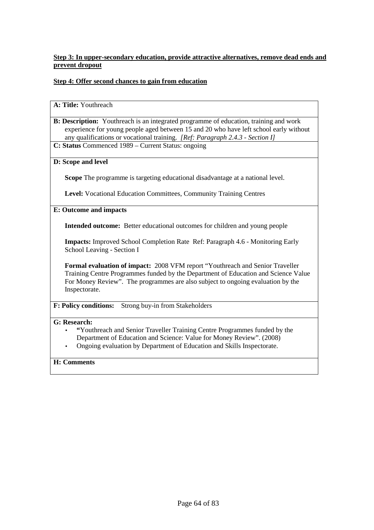# **Step 3: In upper-secondary education, provide attractive alternatives, remove dead ends and prevent dropout**

# **Step 4: Offer second chances to gain from education**

#### **A: Title:** Youthreach

- **B: Description:** Youthreach is an integrated programme of education, training and work experience for young people aged between 15 and 20 who have left school early without any qualifications or vocational training. *[Ref: Paragraph 2.4.3 - Section I]*
- **C: Status** Commenced 1989 Current Status: ongoing

# **D: Scope and level**

**Scope** The programme is targeting educational disadvantage at a national level.

**Level:** Vocational Education Committees, Community Training Centres

#### **E: Outcome and impacts**

**Intended outcome:** Better educational outcomes for children and young people

**Impacts:** Improved School Completion Rate Ref: Paragraph 4.6 - Monitoring Early School Leaving - Section I

**Formal evaluation of impact:** 2008 VFM report "Youthreach and Senior Traveller Training Centre Programmes funded by the Department of Education and Science Value For Money Review". The programmes are also subject to ongoing evaluation by the Inspectorate.

**F: Policy conditions:** Strong buy-in from Stakeholders

#### **G: Research:**

- **"**Youthreach and Senior Traveller Training Centre Programmes funded by the Department of Education and Science: Value for Money Review". (2008)
- Ongoing evaluation by Department of Education and Skills Inspectorate.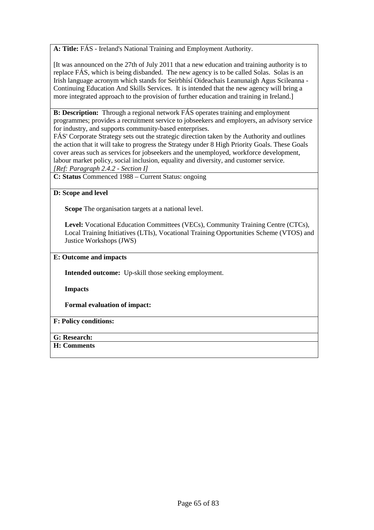**A: Title:** FÁS - Ireland's National Training and Employment Authority.

[It was announced on the 27th of July 2011 that a new education and training authority is to replace FÁS, which is being disbanded. The new agency is to be called Solas. Solas is an Irish language acronym which stands for Seirbhísí Oideachais Leanunaigh Agus Scileanna - Continuing Education And Skills Services. It is intended that the new agency will bring a more integrated approach to the provision of further education and training in Ireland.]

**B: Description:** Through a regional network FÁS operates training and employment programmes; provides a recruitment service to jobseekers and employers, an advisory service for industry, and supports community-based enterprises.

FÁS' Corporate Strategy sets out the strategic direction taken by the Authority and outlines the action that it will take to progress the Strategy under 8 High Priority Goals. These Goals cover areas such as services for jobseekers and the unemployed, workforce development, labour market policy, social inclusion, equality and diversity, and customer service.

*[Ref: Paragraph 2.4.2 - Section I]*

**C: Status** Commenced 1988 – Current Status: ongoing

#### **D: Scope and level**

**Scope** The organisation targets at a national level.

**Level:** Vocational Education Committees (VECs), Community Training Centre (CTCs), Local Training Initiatives (LTIs), Vocational Training Opportunities Scheme (VTOS) and Justice Workshops (JWS)

#### **E: Outcome and impacts**

**Intended outcome:** Up-skill those seeking employment.

**Impacts** 

**Formal evaluation of impact:** 

# **F: Policy conditions:**

- **G: Research:**
- **H: Comments**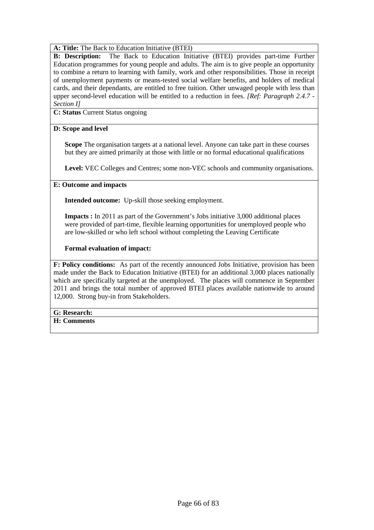**A: Title:** The Back to Education Initiative (BTEI)

**B: Description:** The Back to Education Initiative (BTEI) provides part-time Further Education programmes for young people and adults. The aim is to give people an opportunity to combine a return to learning with family, work and other responsibilities. Those in receipt of unemployment payments or means-tested social welfare benefits, and holders of medical cards, and their dependants, are entitled to free tuition. Other unwaged people with less than upper second-level education will be entitled to a reduction in fees. *[Ref: Paragraph 2.4.7 - Section I]*

**C: Status** Current Status ongoing

#### **D: Scope and level**

**Scope** The organisation targets at a national level. Anyone can take part in these courses but they are aimed primarily at those with little or no formal educational qualifications

**Level:** VEC Colleges and Centres; some non-VEC schools and community organisations.

#### **E: Outcome and impacts**

**Intended outcome:** Up-skill those seeking employment.

**Impacts :** In 2011 as part of the Government's Jobs initiative 3,000 additional places were provided of part-time, flexible learning opportunities for unemployed people who are low-skilled or who left school without completing the Leaving Certificate

**Formal evaluation of impact:** 

**F: Policy conditions:** As part of the recently announced Jobs Initiative, provision has been made under the Back to Education Initiative (BTEI) for an additional 3,000 places nationally which are specifically targeted at the unemployed. The places will commence in September 2011 and brings the total number of approved BTEI places available nationwide to around 12,000. Strong buy-in from Stakeholders.

#### **G: Research:**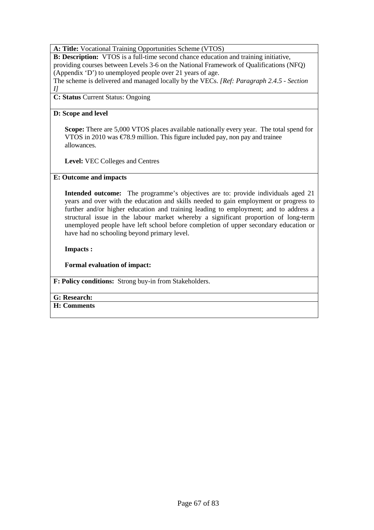### **A: Title:** Vocational Training Opportunities Scheme (VTOS)

**B: Description:** VTOS is a full-time second chance education and training initiative, providing courses between Levels 3-6 on the National Framework of Qualifications (NFQ) (Appendix 'D') to unemployed people over 21 years of age.

The scheme is delivered and managed locally by the VECs. *[Ref: Paragraph 2.4.5 - Section* 

# *I]*

**C: Status** Current Status: Ongoing

### **D: Scope and level**

**Scope:** There are 5,000 VTOS places available nationally every year. The total spend for VTOS in 2010 was  $\epsilon$ 78.9 million. This figure included pay, non pay and trainee allowances.

**Level:** VEC Colleges and Centres

# **E: Outcome and impacts**

**Intended outcome:** The programme's objectives are to: provide individuals aged 21 years and over with the education and skills needed to gain employment or progress to further and/or higher education and training leading to employment; and to address a structural issue in the labour market whereby a significant proportion of long-term unemployed people have left school before completion of upper secondary education or have had no schooling beyond primary level.

**Impacts :** 

**Formal evaluation of impact:** 

**F: Policy conditions:** Strong buy-in from Stakeholders.

# **G: Research:**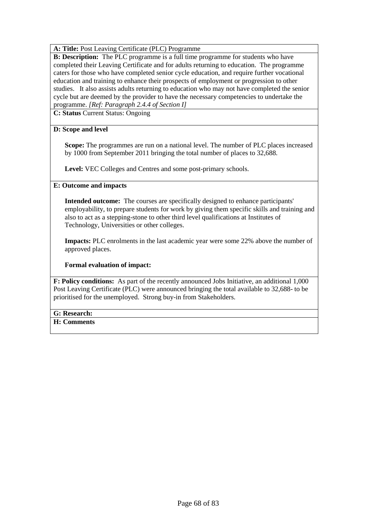# **A: Title:** Post Leaving Certificate (PLC) Programme

**B: Description:** The PLC programme is a full time programme for students who have completed their Leaving Certificate and for adults returning to education. The programme caters for those who have completed senior cycle education, and require further vocational education and training to enhance their prospects of employment or progression to other studies. It also assists adults returning to education who may not have completed the senior cycle but are deemed by the provider to have the necessary competencies to undertake the programme. *[Ref: Paragraph 2.4.4 of Section I]*

**C: Status** Current Status: Ongoing

#### **D: Scope and level**

**Scope:** The programmes are run on a national level. The number of PLC places increased by 1000 from September 2011 bringing the total number of places to 32,688.

Level: VEC Colleges and Centres and some post-primary schools.

#### **E: Outcome and impacts**

**Intended outcome:** The courses are specifically designed to enhance participants' employability, to prepare students for work by giving them specific skills and training and also to act as a stepping-stone to other third level qualifications at Institutes of Technology, Universities or other colleges.

**Impacts:** PLC enrolments in the last academic year were some 22% above the number of approved places.

#### **Formal evaluation of impact:**

**F: Policy conditions:** As part of the recently announced Jobs Initiative, an additional 1,000 Post Leaving Certificate (PLC) were announced bringing the total available to 32,688- to be prioritised for the unemployed. Strong buy-in from Stakeholders.

#### **G: Research:**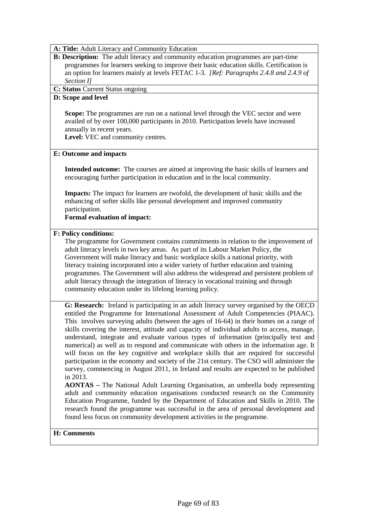**A: Title:** Adult Literacy and Community Education

**B: Description:** The adult literacy and community education programmes are part-time programmes for learners seeking to improve their basic education skills. Certification is an option for learners mainly at levels FETAC 1-3. *[Ref: Paragraphs 2.4.8 and 2.4.9 of Section I]*

### **C: Status** Current Status ongoing

#### **D: Scope and level**

**Scope:** The programmes are run on a national level through the VEC sector and were availed of by over 100,000 participants in 2010. Participation levels have increased annually in recent years.

Level: VEC and community centres.

#### **E: Outcome and impacts**

**Intended outcome:** The courses are aimed at improving the basic skills of learners and encouraging further participation in education and in the local community.

**Impacts:** The impact for learners are twofold, the development of basic skills and the enhancing of softer skills like personal development and improved community participation.

**Formal evaluation of impact:** 

#### **F: Policy conditions:**

The programme for Government contains commitments in relation to the improvement of adult literacy levels in two key areas. As part of its Labour Market Policy, the Government will make literacy and basic workplace skills a national priority, with literacy training incorporated into a wider variety of further education and training programmes. The Government will also address the widespread and persistent problem of adult literacy through the integration of literacy in vocational training and through community education under its lifelong learning policy.

**G: Research:** Ireland is participating in an adult literacy survey organised by the OECD entitled the Programme for International Assessment of Adult Competencies (PIAAC). This involves surveying adults (between the ages of 16-64) in their homes on a range of skills covering the interest, attitude and capacity of individual adults to access, manage, understand, integrate and evaluate various types of information (principally text and numerical) as well as to respond and communicate with others in the information age. It will focus on the key cognitive and workplace skills that are required for successful participation in the economy and society of the 21st century. The CSO will administer the survey, commencing in August 2011, in Ireland and results are expected to be published in 2013.

**AONTAS –** The National Adult Learning Organisation, an umbrella body representing adult and community education organisations conducted research on the Community Education Programme, funded by the Department of Education and Skills in 2010. The research found the programme was successful in the area of personal development and found less focus on community development activities in the programme.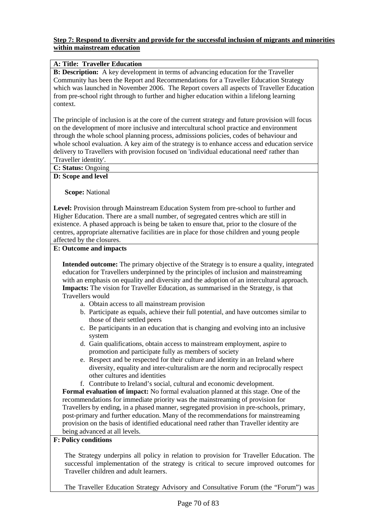#### **Step 7: Respond to diversity and provide for the successful inclusion of migrants and minorities within mainstream education**

# **A: Title: Traveller Education**

**B: Description:** A key development in terms of advancing education for the Traveller Community has been the Report and Recommendations for a Traveller Education Strategy which was launched in November 2006. The Report covers all aspects of Traveller Education from pre-school right through to further and higher education within a lifelong learning context.

The principle of inclusion is at the core of the current strategy and future provision will focus on the development of more inclusive and intercultural school practice and environment through the whole school planning process, admissions policies, codes of behaviour and whole school evaluation. A key aim of the strategy is to enhance access and education service delivery to Travellers with provision focused on 'individual educational need' rather than 'Traveller identity'.

**C: Status:** Ongoing

#### **D: Scope and level**

**Scope:** National

**Level:** Provision through Mainstream Education System from pre-school to further and Higher Education. There are a small number, of segregated centres which are still in existence. A phased approach is being be taken to ensure that, prior to the closure of the centres, appropriate alternative facilities are in place for those children and young people affected by the closures.

#### **E: Outcome and impacts**

**Intended outcome:** The primary objective of the Strategy is to ensure a quality, integrated education for Travellers underpinned by the principles of inclusion and mainstreaming with an emphasis on equality and diversity and the adoption of an intercultural approach. **Impacts:** The vision for Traveller Education, as summarised in the Strategy, is that Travellers would

- a. Obtain access to all mainstream provision
- b. Participate as equals, achieve their full potential, and have outcomes similar to those of their settled peers
- c. Be participants in an education that is changing and evolving into an inclusive system
- d. Gain qualifications, obtain access to mainstream employment, aspire to promotion and participate fully as members of society
- e. Respect and be respected for their culture and identity in an Ireland where diversity, equality and inter-culturalism are the norm and reciprocally respect other cultures and identities
- f. Contribute to Ireland's social, cultural and economic development.

**Formal evaluation of impact:** No formal evaluation planned at this stage. One of the recommendations for immediate priority was the mainstreaming of provision for Travellers by ending, in a phased manner, segregated provision in pre-schools, primary, post-primary and further education. Many of the recommendations for mainstreaming provision on the basis of identified educational need rather than Traveller identity are being advanced at all levels.

# **F: Policy conditions**

The Strategy underpins all policy in relation to provision for Traveller Education. The successful implementation of the strategy is critical to secure improved outcomes for Traveller children and adult learners.

The Traveller Education Strategy Advisory and Consultative Forum (the "Forum") was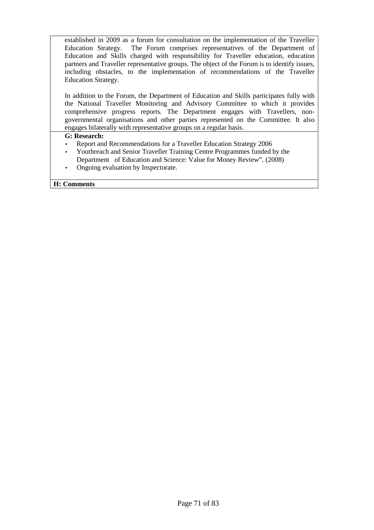established in 2009 as a forum for consultation on the implementation of the Traveller Education Strategy. The Forum comprises representatives of the Department of Education and Skills charged with responsibility for Traveller education, education partners and Traveller representative groups. The object of the Forum is to identify issues, including obstacles, to the implementation of recommendations of the Traveller Education Strategy.

In addition to the Forum, the Department of Education and Skills participates fully with the National Traveller Monitoring and Advisory Committee to which it provides comprehensive progress reports. The Department engages with Travellers, nongovernmental organisations and other parties represented on the Committee. It also engages bilaterally with representative groups on a regular basis.

#### **G: Research:**

- Report and Recommendations for a Traveller Education Strategy 2006
- Youthreach and Senior Traveller Training Centre Programmes funded by the Department of Education and Science: Value for Money Review". (2008)
- Ongoing evaluation by Inspectorate.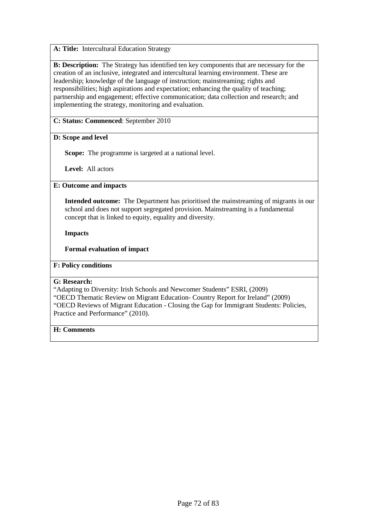**A: Title:** Intercultural Education Strategy

**B: Description:** The Strategy has identified ten key components that are necessary for the creation of an inclusive, integrated and intercultural learning environment. These are leadership; knowledge of the language of instruction; mainstreaming; rights and responsibilities; high aspirations and expectation; enhancing the quality of teaching; partnership and engagement; effective communication; data collection and research; and implementing the strategy, monitoring and evaluation.

# **C: Status: Commenced**: September 2010

#### **D: Scope and level**

**Scope:** The programme is targeted at a national level.

**Level:** All actors

#### **E: Outcome and impacts**

**Intended outcome:** The Department has prioritised the mainstreaming of migrants in our school and does not support segregated provision. Mainstreaming is a fundamental concept that is linked to equity, equality and diversity.

**Impacts** 

#### **Formal evaluation of impact**

# **F: Policy conditions**

#### **G: Research:**

"Adapting to Diversity: Irish Schools and Newcomer Students" ESRI, (2009)

"OECD Thematic Review on Migrant Education- Country Report for Ireland" (2009) "OECD Reviews of Migrant Education - Closing the Gap for Immigrant Students: Policies, Practice and Performance" (2010).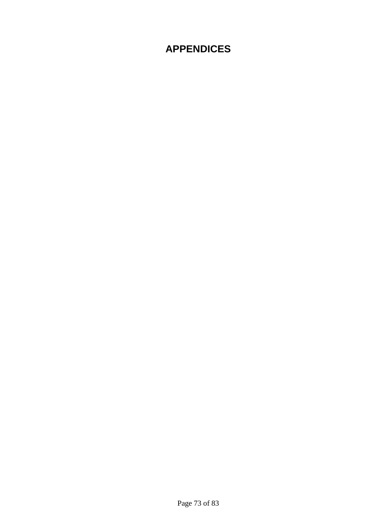# **APPENDICES**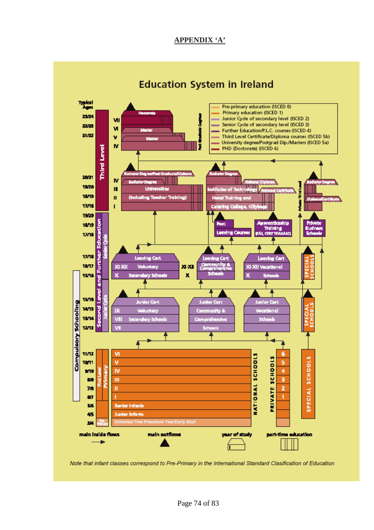## **APPENDIX 'A'**



Note that infant classes correspond to Pre-Primary in the International Standard Clasification of Education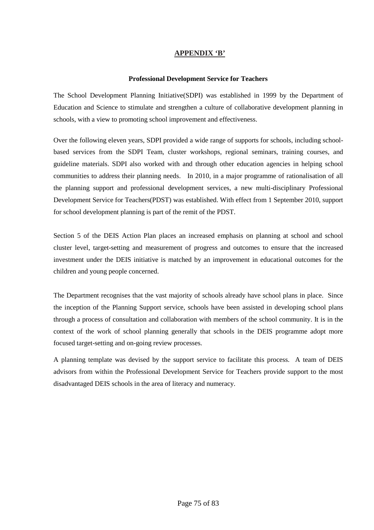#### **APPENDIX 'B'**

#### **Professional Development Service for Teachers**

The School Development Planning Initiative(SDPI) was established in 1999 by the Department of Education and Science to stimulate and strengthen a culture of collaborative development planning in schools, with a view to promoting school improvement and effectiveness.

Over the following eleven years, SDPI provided a wide range of supports for schools, including schoolbased services from the SDPI Team, cluster workshops, regional seminars, training courses, and guideline materials. SDPI also worked with and through other education agencies in helping school communities to address their planning needs. In 2010, in a major programme of rationalisation of all the planning support and professional development services, a new multi-disciplinary Professional Development Service for Teachers(PDST) was established. With effect from 1 September 2010, support for school development planning is part of the remit of the PDST.

Section 5 of the DEIS Action Plan places an increased emphasis on planning at school and school cluster level, target-setting and measurement of progress and outcomes to ensure that the increased investment under the DEIS initiative is matched by an improvement in educational outcomes for the children and young people concerned.

The Department recognises that the vast majority of schools already have school plans in place. Since the inception of the Planning Support service, schools have been assisted in developing school plans through a process of consultation and collaboration with members of the school community. It is in the context of the work of school planning generally that schools in the DEIS programme adopt more focused target-setting and on-going review processes.

A planning template was devised by the support service to facilitate this process. A team of DEIS advisors from within the Professional Development Service for Teachers provide support to the most disadvantaged DEIS schools in the area of literacy and numeracy.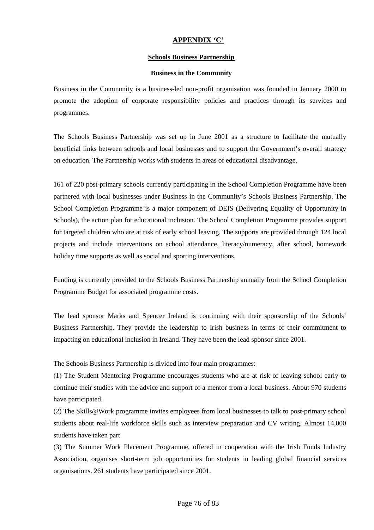## **APPENDIX 'C'**

#### **Schools Business Partnership**

#### **Business in the Community**

Business in the Community is a business-led non-profit organisation was founded in January 2000 to promote the adoption of corporate responsibility policies and practices through its services and programmes.

The Schools Business Partnership was set up in June 2001 as a structure to facilitate the mutually beneficial links between schools and local businesses and to support the Government's overall strategy on education. The Partnership works with students in areas of educational disadvantage.

161 of 220 post-primary schools currently participating in the School Completion Programme have been partnered with local businesses under Business in the Community's Schools Business Partnership. The School Completion Programme is a major component of DEIS (Delivering Equality of Opportunity in Schools), the action plan for educational inclusion. The School Completion Programme provides support for targeted children who are at risk of early school leaving. The supports are provided through 124 local projects and include interventions on school attendance, literacy/numeracy, after school, homework holiday time supports as well as social and sporting interventions.

Funding is currently provided to the Schools Business Partnership annually from the School Completion Programme Budget for associated programme costs.

The lead sponsor Marks and Spencer Ireland is continuing with their sponsorship of the Schools' Business Partnership. They provide the leadership to Irish business in terms of their commitment to impacting on educational inclusion in Ireland. They have been the lead sponsor since 2001.

The Schools Business Partnership is divided into four main programmes:

(1) The Student Mentoring Programme encourages students who are at risk of leaving school early to continue their studies with the advice and support of a mentor from a local business. About 970 students have participated.

(2) The Skills@Work programme invites employees from local businesses to talk to post-primary school students about real-life workforce skills such as interview preparation and CV writing. Almost 14,000 students have taken part.

(3) The Summer Work Placement Programme, offered in cooperation with the Irish Funds Industry Association, organises short-term job opportunities for students in leading global financial services organisations. 261 students have participated since 2001.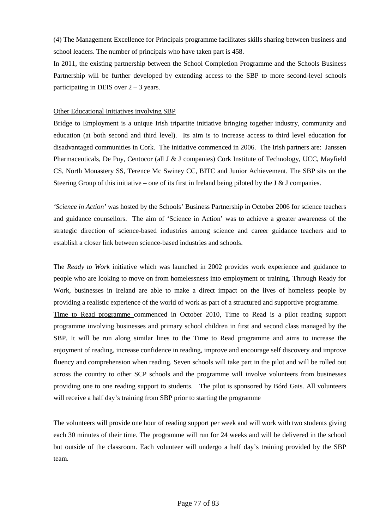(4) The Management Excellence for Principals programme facilitates skills sharing between business and school leaders. The number of principals who have taken part is 458.

In 2011, the existing partnership between the School Completion Programme and the Schools Business Partnership will be further developed by extending access to the SBP to more second-level schools participating in DEIS over  $2 - 3$  years.

#### Other Educational Initiatives involving SBP

Bridge to Employment is a unique Irish tripartite initiative bringing together industry, community and education (at both second and third level). Its aim is to increase access to third level education for disadvantaged communities in Cork. The initiative commenced in 2006. The Irish partners are: Janssen Pharmaceuticals, De Puy, Centocor (all J & J companies) Cork Institute of Technology, UCC, Mayfield CS, North Monastery SS, Terence Mc Swiney CC, BITC and Junior Achievement. The SBP sits on the Steering Group of this initiative – one of its first in Ireland being piloted by the J & J companies.

*'Science in Action'* was hosted by the Schools' Business Partnership in October 2006 for science teachers and guidance counsellors. The aim of 'Science in Action' was to achieve a greater awareness of the strategic direction of science-based industries among science and career guidance teachers and to establish a closer link between science-based industries and schools.

The *Ready to Work* initiative which was launched in 2002 provides work experience and guidance to people who are looking to move on from homelessness into employment or training. Through Ready for Work, businesses in Ireland are able to make a direct impact on the lives of homeless people by providing a realistic experience of the world of work as part of a structured and supportive programme. Time to Read programme commenced in October 2010, Time to Read is a pilot reading support programme involving businesses and primary school children in first and second class managed by the SBP. It will be run along similar lines to the Time to Read programme and aims to increase the enjoyment of reading, increase confidence in reading, improve and encourage self discovery and improve fluency and comprehension when reading. Seven schools will take part in the pilot and will be rolled out across the country to other SCP schools and the programme will involve volunteers from businesses providing one to one reading support to students. The pilot is sponsored by Bórd Gais. All volunteers will receive a half day's training from SBP prior to starting the programme

The volunteers will provide one hour of reading support per week and will work with two students giving each 30 minutes of their time. The programme will run for 24 weeks and will be delivered in the school but outside of the classroom. Each volunteer will undergo a half day's training provided by the SBP team.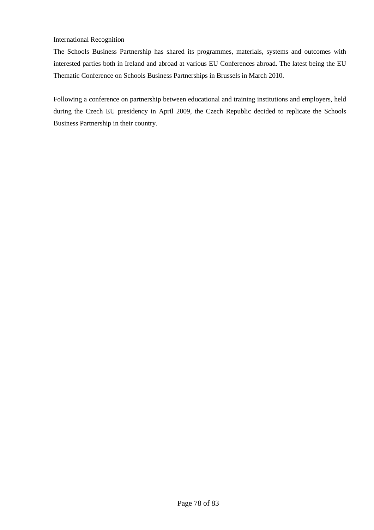#### International Recognition

The Schools Business Partnership has shared its programmes, materials, systems and outcomes with interested parties both in Ireland and abroad at various EU Conferences abroad. The latest being the EU Thematic Conference on Schools Business Partnerships in Brussels in March 2010.

Following a conference on partnership between educational and training institutions and employers, held during the Czech EU presidency in April 2009, the Czech Republic decided to replicate the Schools Business Partnership in their country.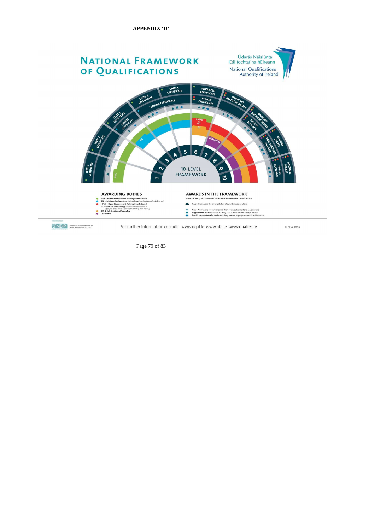Page 79 of 83

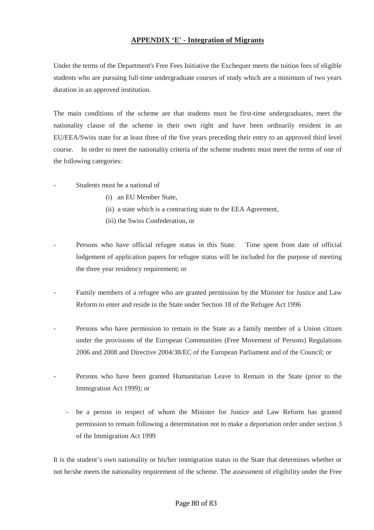## **APPENDIX 'E' - Integration of Migrants**

Under the terms of the Department's Free Fees Initiative the Exchequer meets the tuition fees of eligible students who are pursuing full-time undergraduate courses of study which are a minimum of two years duration in an approved institution.

The main conditions of the scheme are that students must be first-time undergraduates, meet the nationality clause of the scheme in their own right and have been ordinarily resident in an EU/EEA/Swiss state for at least three of the five years preceding their entry to an approved third level course. In order to meet the nationality criteria of the scheme students must meet the terms of one of the following categories:

- Students must be a national of
	- (i) an EU Member State,
	- (ii) a state which is a contracting state to the EEA Agreement,
	- (iii) the Swiss Confederation, or
- Persons who have official refugee status in this State. Time spent from date of official lodgement of application papers for refugee status will be included for the purpose of meeting the three year residency requirement; or
- Family members of a refugee who are granted permission by the Minister for Justice and Law Reform to enter and reside in the State under Section 18 of the Refugee Act 1996
- Persons who have permission to remain in the State as a family member of a Union citizen under the provisions of the European Communities (Free Movement of Persons) Regulations 2006 and 2008 and Directive 2004/38/EC of the European Parliament and of the Council; or
- Persons who have been granted Humanitarian Leave to Remain in the State (prior to the Immigration Act 1999); or
	- be a person in respect of whom the Minister for Justice and Law Reform has granted permission to remain following a determination not to make a deportation order under section 3 of the Immigration Act 1999

It is the student's own nationality or his/her immigration status in the State that determines whether or not he/she meets the nationality requirement of the scheme. The assessment of eligibility under the Free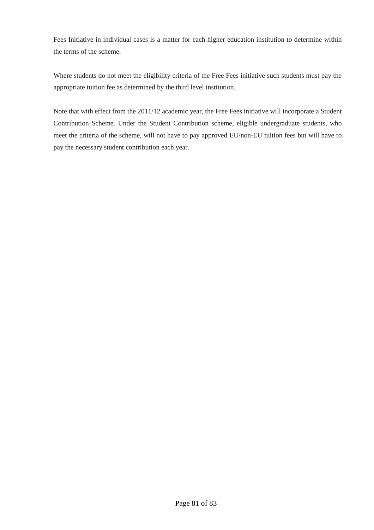Fees Initiative in individual cases is a matter for each higher education institution to determine within the terms of the scheme.

Where students do not meet the eligibility criteria of the Free Fees initiative such students must pay the appropriate tuition fee as determined by the third level institution.

Note that with effect from the 2011/12 academic year, the Free Fees initiative will incorporate a Student Contribution Scheme. Under the Student Contribution scheme, eligible undergraduate students, who meet the criteria of the scheme, will not have to pay approved EU/non-EU tuition fees but will have to pay the necessary student contribution each year.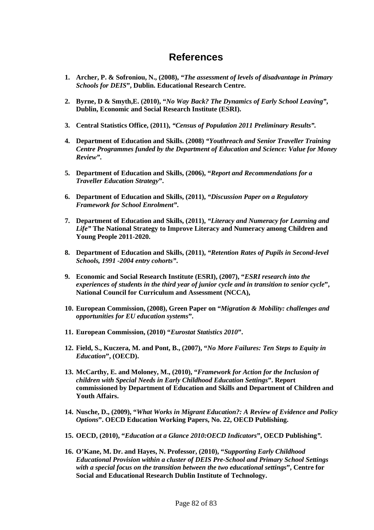## **References**

- **1. Archer, P. & Sofroniou, N., (2008),** *"The assessment of levels of disadvantage in Primary Schools for DEIS***", Dublin. Educational Research Centre.**
- **2. Byrne, D & Smyth,E. (2010), "***No Way Back? The Dynamics of Early School Leaving"***, Dublin, Economic and Social Research Institute (ESRI).**
- **3. Central Statistics Office, (2011),** *"Census of Population 2011 Preliminary Results".*
- **4. Department of Education and Skills. (2008)** *"Youthreach and Senior Traveller Training Centre Programmes funded by the Department of Education and Science: Value for Money Review"***.**
- **5. Department of Education and Skills, (2006), "***Report and Recommendations for a Traveller Education Strategy***".**
- **6. Department of Education and Skills, (2011),** *"Discussion Paper on a Regulatory Framework for School Enrolment"***.**
- **7. Department of Education and Skills, (2011),** *"Literacy and Numeracy for Learning and Life"* **The National Strategy to Improve Literacy and Numeracy among Children and Young People 2011-2020.**
- **8. Department of Education and Skills, (2011),** *"Retention Rates of Pupils in Second-level Schools, 1991 -2004 entry cohorts"***.**
- **9. Economic and Social Research Institute (ESRI), (2007), "***ESRI research into the experiences of students in the third year of junior cycle and in transition to senior cycle***", National Council for Curriculum and Assessment (NCCA),**
- **10. European Commission, (2008), Green Paper on "***Migration & Mobility: challenges and opportunities for EU education systems***".**
- **11. European Commission, (2010) "***Eurostat Statistics 2010***".**
- **12. Field, S., Kuczera, M. and Pont, B., (2007), "***No More Failures: Ten Steps to Equity in Education***", (OECD).**
- **13. McCarthy, E. and Moloney, M., (2010), "***Framework for Action for the Inclusion of children with Special Needs in Early Childhood Education Settings***". Report commissioned by Department of Education and Skills and Department of Children and Youth Affairs.**
- **14. Nusche, D., (2009), "***What Works in Migrant Education?: A Review of Evidence and Policy Options***". OECD Education Working Papers, No. 22, OECD Publishing.**
- **15. OECD, (2010), "***Education at a Glance 2010:OECD Indicators***", OECD Publishing***".*
- **16. O'Kane, M. Dr. and Hayes, N. Professor, (2010), "***Supporting Early Childhood Educational Provision within a cluster of DEIS Pre-School and Primary School Settings with a special focus on the transition between the two educational settings***", Centre for Social and Educational Research Dublin Institute of Technology.**